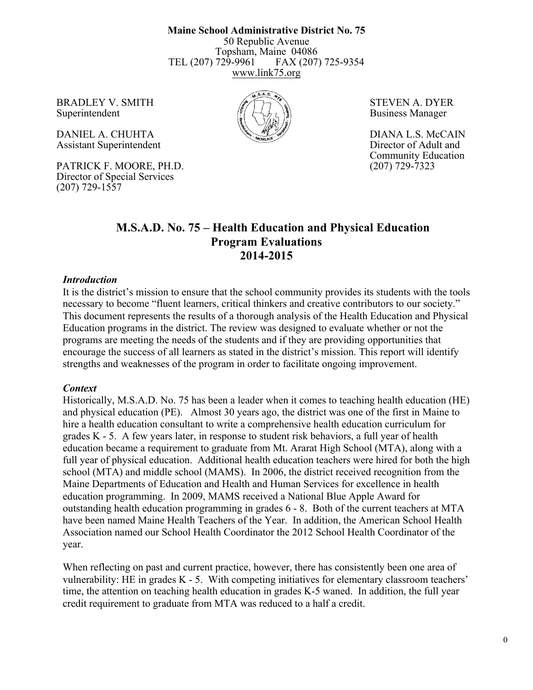**Maine School Administrative District No. 75** 50 Republic Avenue Topsham, Maine 04086 TEL (207) 729-9961 FAX (207) 725-9354 www.link75.org

BRADLEY V. SMITH  $\mathscr{B}(\mathbb{R})$  STEVEN A. DYER Superintendent  $\left(\frac{1}{2}\left(\frac{1}{2}\right)_{\frac{1}{2}}\right)_{\frac{1}{2}}$  Business Manager

DANIEL A. CHUHTA DIANA L.S. McCAIN Assistant Superintendent Director of Adult and

PATRICK F. MOORE, PH.D. (207) 729-7323 Director of Special Services (207) 729-1557



Community Education

## **M.S.A.D. No. 75 – Health Education and Physical Education Program Evaluations 2014-2015**

#### *Introduction*

It is the district's mission to ensure that the school community provides its students with the tools necessary to become "fluent learners, critical thinkers and creative contributors to our society." This document represents the results of a thorough analysis of the Health Education and Physical Education programs in the district. The review was designed to evaluate whether or not the programs are meeting the needs of the students and if they are providing opportunities that encourage the success of all learners as stated in the district's mission. This report will identify strengths and weaknesses of the program in order to facilitate ongoing improvement.

#### *Context*

Historically, M.S.A.D. No. 75 has been a leader when it comes to teaching health education (HE) and physical education (PE). Almost 30 years ago, the district was one of the first in Maine to hire a health education consultant to write a comprehensive health education curriculum for grades K - 5. A few years later, in response to student risk behaviors, a full year of health education became a requirement to graduate from Mt. Ararat High School (MTA), along with a full year of physical education. Additional health education teachers were hired for both the high school (MTA) and middle school (MAMS). In 2006, the district received recognition from the Maine Departments of Education and Health and Human Services for excellence in health education programming. In 2009, MAMS received a National Blue Apple Award for outstanding health education programming in grades 6 - 8. Both of the current teachers at MTA have been named Maine Health Teachers of the Year. In addition, the American School Health Association named our School Health Coordinator the 2012 School Health Coordinator of the year.

When reflecting on past and current practice, however, there has consistently been one area of vulnerability: HE in grades K - 5. With competing initiatives for elementary classroom teachers' time, the attention on teaching health education in grades K-5 waned. In addition, the full year credit requirement to graduate from MTA was reduced to a half a credit.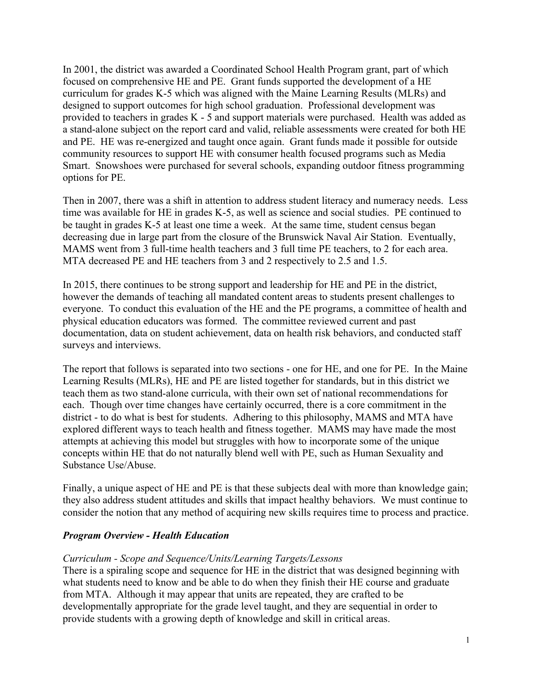In 2001, the district was awarded a Coordinated School Health Program grant, part of which focused on comprehensive HE and PE. Grant funds supported the development of a HE curriculum for grades K-5 which was aligned with the Maine Learning Results (MLRs) and designed to support outcomes for high school graduation. Professional development was provided to teachers in grades K - 5 and support materials were purchased. Health was added as a stand-alone subject on the report card and valid, reliable assessments were created for both HE and PE. HE was re-energized and taught once again. Grant funds made it possible for outside community resources to support HE with consumer health focused programs such as Media Smart. Snowshoes were purchased for several schools, expanding outdoor fitness programming options for PE.

Then in 2007, there was a shift in attention to address student literacy and numeracy needs. Less time was available for HE in grades K-5, as well as science and social studies. PE continued to be taught in grades K-5 at least one time a week. At the same time, student census began decreasing due in large part from the closure of the Brunswick Naval Air Station. Eventually, MAMS went from 3 full-time health teachers and 3 full time PE teachers, to 2 for each area. MTA decreased PE and HE teachers from 3 and 2 respectively to 2.5 and 1.5.

In 2015, there continues to be strong support and leadership for HE and PE in the district, however the demands of teaching all mandated content areas to students present challenges to everyone. To conduct this evaluation of the HE and the PE programs, a committee of health and physical education educators was formed. The committee reviewed current and past documentation, data on student achievement, data on health risk behaviors, and conducted staff surveys and interviews.

The report that follows is separated into two sections - one for HE, and one for PE. In the Maine Learning Results (MLRs), HE and PE are listed together for standards, but in this district we teach them as two stand-alone curricula, with their own set of national recommendations for each. Though over time changes have certainly occurred, there is a core commitment in the district - to do what is best for students. Adhering to this philosophy, MAMS and MTA have explored different ways to teach health and fitness together. MAMS may have made the most attempts at achieving this model but struggles with how to incorporate some of the unique concepts within HE that do not naturally blend well with PE, such as Human Sexuality and Substance Use/Abuse.

Finally, a unique aspect of HE and PE is that these subjects deal with more than knowledge gain; they also address student attitudes and skills that impact healthy behaviors. We must continue to consider the notion that any method of acquiring new skills requires time to process and practice.

## *Program Overview - Health Education*

### *Curriculum - Scope and Sequence/Units/Learning Targets/Lessons*

There is a spiraling scope and sequence for HE in the district that was designed beginning with what students need to know and be able to do when they finish their HE course and graduate from MTA. Although it may appear that units are repeated, they are crafted to be developmentally appropriate for the grade level taught, and they are sequential in order to provide students with a growing depth of knowledge and skill in critical areas.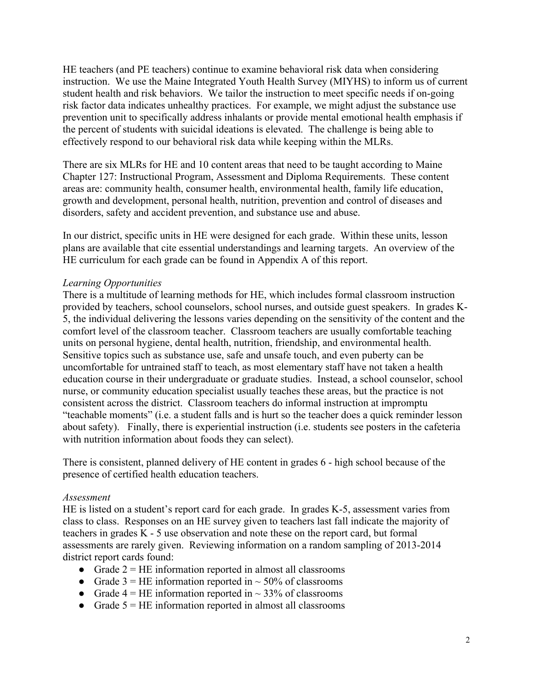HE teachers (and PE teachers) continue to examine behavioral risk data when considering instruction. We use the Maine Integrated Youth Health Survey (MIYHS) to inform us of current student health and risk behaviors. We tailor the instruction to meet specific needs if on-going risk factor data indicates unhealthy practices. For example, we might adjust the substance use prevention unit to specifically address inhalants or provide mental emotional health emphasis if the percent of students with suicidal ideations is elevated. The challenge is being able to effectively respond to our behavioral risk data while keeping within the MLRs.

There are six MLRs for HE and 10 content areas that need to be taught according to Maine Chapter 127: Instructional Program, Assessment and Diploma Requirements. These content areas are: community health, consumer health, environmental health, family life education, growth and development, personal health, nutrition, prevention and control of diseases and disorders, safety and accident prevention, and substance use and abuse.

In our district, specific units in HE were designed for each grade. Within these units, lesson plans are available that cite essential understandings and learning targets. An overview of the HE curriculum for each grade can be found in Appendix A of this report.

### *Learning Opportunities*

There is a multitude of learning methods for HE, which includes formal classroom instruction provided by teachers, school counselors, school nurses, and outside guest speakers. In grades K-5, the individual delivering the lessons varies depending on the sensitivity of the content and the comfort level of the classroom teacher. Classroom teachers are usually comfortable teaching units on personal hygiene, dental health, nutrition, friendship, and environmental health. Sensitive topics such as substance use, safe and unsafe touch, and even puberty can be uncomfortable for untrained staff to teach, as most elementary staff have not taken a health education course in their undergraduate or graduate studies. Instead, a school counselor, school nurse, or community education specialist usually teaches these areas, but the practice is not consistent across the district. Classroom teachers do informal instruction at impromptu "teachable moments" (i.e. a student falls and is hurt so the teacher does a quick reminder lesson about safety). Finally, there is experiential instruction (i.e. students see posters in the cafeteria with nutrition information about foods they can select).

There is consistent, planned delivery of HE content in grades 6 - high school because of the presence of certified health education teachers.

### *Assessment*

HE is listed on a student's report card for each grade. In grades K-5, assessment varies from class to class. Responses on an HE survey given to teachers last fall indicate the majority of teachers in grades K - 5 use observation and note these on the report card, but formal assessments are rarely given. Reviewing information on a random sampling of 2013-2014 district report cards found:

- Grade  $2 = HE$  information reported in almost all classrooms
- Grade  $3 = HE$  information reported in  $\sim$  50% of classrooms
- Grade  $4 = HE$  information reported in  $\sim$  33% of classrooms
- Grade  $5 = HE$  information reported in almost all classrooms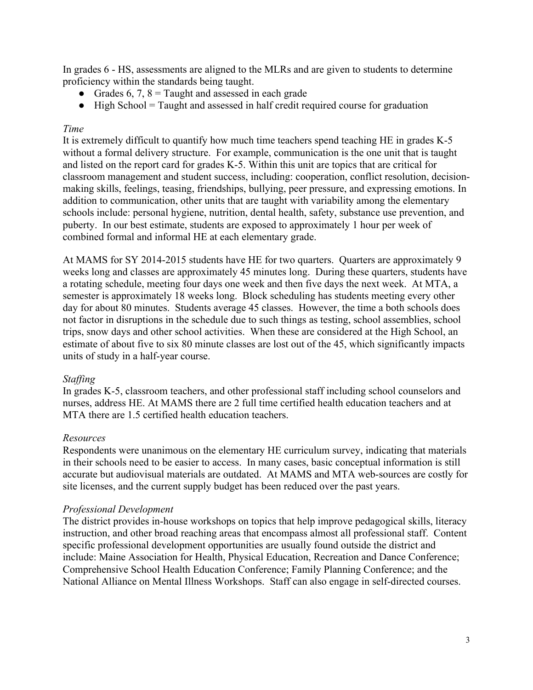In grades 6 - HS, assessments are aligned to the MLRs and are given to students to determine proficiency within the standards being taught.

- Grades 6, 7,  $8 =$  Taught and assessed in each grade
- High School = Taught and assessed in half credit required course for graduation

### *Time*

It is extremely difficult to quantify how much time teachers spend teaching HE in grades K-5 without a formal delivery structure. For example, communication is the one unit that is taught and listed on the report card for grades K-5. Within this unit are topics that are critical for classroom management and student success, including: cooperation, conflict resolution, decisionmaking skills, feelings, teasing, friendships, bullying, peer pressure, and expressing emotions. In addition to communication, other units that are taught with variability among the elementary schools include: personal hygiene, nutrition, dental health, safety, substance use prevention, and puberty. In our best estimate, students are exposed to approximately 1 hour per week of combined formal and informal HE at each elementary grade.

At MAMS for SY 2014-2015 students have HE for two quarters. Quarters are approximately 9 weeks long and classes are approximately 45 minutes long. During these quarters, students have a rotating schedule, meeting four days one week and then five days the next week. At MTA, a semester is approximately 18 weeks long. Block scheduling has students meeting every other day for about 80 minutes. Students average 45 classes. However, the time a both schools does not factor in disruptions in the schedule due to such things as testing, school assemblies, school trips, snow days and other school activities. When these are considered at the High School, an estimate of about five to six 80 minute classes are lost out of the 45, which significantly impacts units of study in a half-year course.

### *Staffing*

In grades K-5, classroom teachers, and other professional staff including school counselors and nurses, address HE. At MAMS there are 2 full time certified health education teachers and at MTA there are 1.5 certified health education teachers.

### *Resources*

Respondents were unanimous on the elementary HE curriculum survey, indicating that materials in their schools need to be easier to access. In many cases, basic conceptual information is still accurate but audiovisual materials are outdated. At MAMS and MTA web-sources are costly for site licenses, and the current supply budget has been reduced over the past years.

### *Professional Development*

The district provides in-house workshops on topics that help improve pedagogical skills, literacy instruction, and other broad reaching areas that encompass almost all professional staff. Content specific professional development opportunities are usually found outside the district and include: Maine Association for Health, Physical Education, Recreation and Dance Conference; Comprehensive School Health Education Conference; Family Planning Conference; and the National Alliance on Mental Illness Workshops. Staff can also engage in self-directed courses.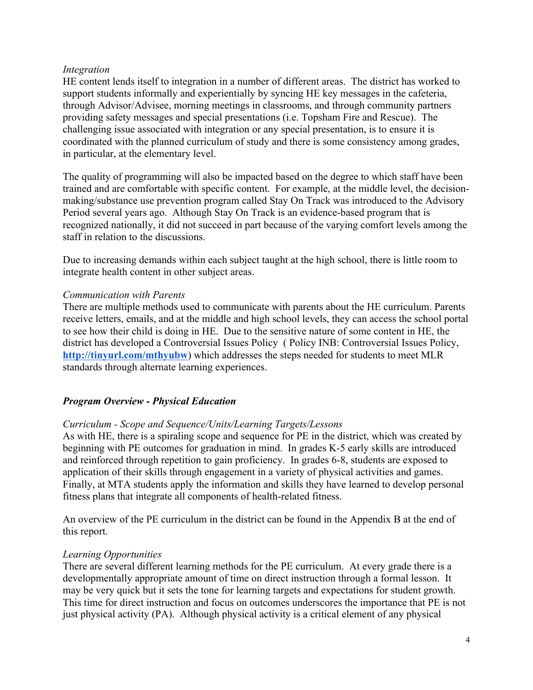### *Integration*

HE content lends itself to integration in a number of different areas. The district has worked to support students informally and experientially by syncing HE key messages in the cafeteria, through Advisor/Advisee, morning meetings in classrooms, and through community partners providing safety messages and special presentations (i.e. Topsham Fire and Rescue). The challenging issue associated with integration or any special presentation, is to ensure it is coordinated with the planned curriculum of study and there is some consistency among grades, in particular, at the elementary level.

The quality of programming will also be impacted based on the degree to which staff have been trained and are comfortable with specific content. For example, at the middle level, the decisionmaking/substance use prevention program called Stay On Track was introduced to the Advisory Period several years ago. Although Stay On Track is an evidence-based program that is recognized nationally, it did not succeed in part because of the varying comfort levels among the staff in relation to the discussions.

Due to increasing demands within each subject taught at the high school, there is little room to integrate health content in other subject areas.

### *Communication with Parents*

There are multiple methods used to communicate with parents about the HE curriculum. Parents receive letters, emails, and at the middle and high school levels, they can access the school portal to see how their child is doing in HE. Due to the sensitive nature of some content in HE, the district has developed a Controversial Issues Policy ( Policy INB: Controversial Issues Policy, **http://tinyurl.com/mthyubw**) which addresses the steps needed for students to meet MLR standards through alternate learning experiences.

### *Program Overview - Physical Education*

### *Curriculum - Scope and Sequence/Units/Learning Targets/Lessons*

As with HE, there is a spiraling scope and sequence for PE in the district, which was created by beginning with PE outcomes for graduation in mind. In grades K-5 early skills are introduced and reinforced through repetition to gain proficiency. In grades 6-8, students are exposed to application of their skills through engagement in a variety of physical activities and games. Finally, at MTA students apply the information and skills they have learned to develop personal fitness plans that integrate all components of health-related fitness.

An overview of the PE curriculum in the district can be found in the Appendix B at the end of this report.

### *Learning Opportunities*

There are several different learning methods for the PE curriculum. At every grade there is a developmentally appropriate amount of time on direct instruction through a formal lesson. It may be very quick but it sets the tone for learning targets and expectations for student growth. This time for direct instruction and focus on outcomes underscores the importance that PE is not just physical activity (PA). Although physical activity is a critical element of any physical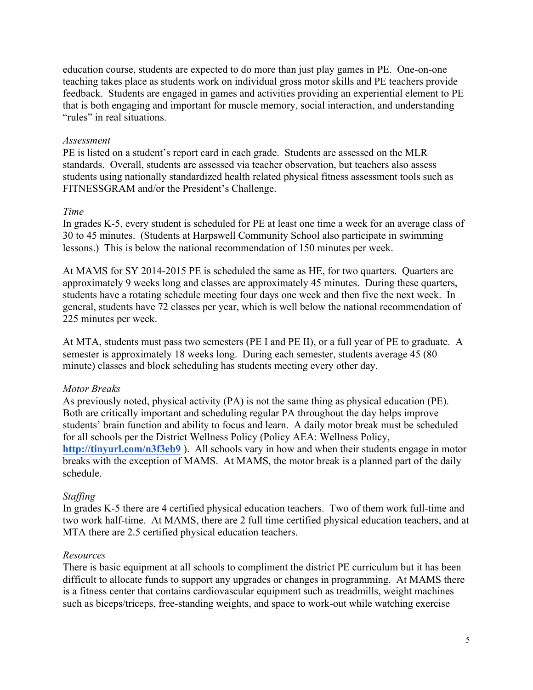education course, students are expected to do more than just play games in PE. One-on-one teaching takes place as students work on individual gross motor skills and PE teachers provide feedback. Students are engaged in games and activities providing an experiential element to PE that is both engaging and important for muscle memory, social interaction, and understanding "rules" in real situations.

### *Assessment*

PE is listed on a student's report card in each grade. Students are assessed on the MLR standards. Overall, students are assessed via teacher observation, but teachers also assess students using nationally standardized health related physical fitness assessment tools such as FITNESSGRAM and/or the President's Challenge.

## *Time*

In grades K-5, every student is scheduled for PE at least one time a week for an average class of 30 to 45 minutes. (Students at Harpswell Community School also participate in swimming lessons.) This is below the national recommendation of 150 minutes per week.

At MAMS for SY 2014-2015 PE is scheduled the same as HE, for two quarters. Quarters are approximately 9 weeks long and classes are approximately 45 minutes. During these quarters, students have a rotating schedule meeting four days one week and then five the next week. In general, students have 72 classes per year, which is well below the national recommendation of 225 minutes per week.

At MTA, students must pass two semesters (PE I and PE II), or a full year of PE to graduate. A semester is approximately 18 weeks long. During each semester, students average 45 (80 minute) classes and block scheduling has students meeting every other day.

## *Motor Breaks*

As previously noted, physical activity (PA) is not the same thing as physical education (PE). Both are critically important and scheduling regular PA throughout the day helps improve students' brain function and ability to focus and learn. A daily motor break must be scheduled for all schools per the District Wellness Policy (Policy AEA: Wellness Policy, **http://tinyurl.com/n3f3eb9** ). All schools vary in how and when their students engage in motor breaks with the exception of MAMS. At MAMS, the motor break is a planned part of the daily schedule.

## *Staffing*

In grades K-5 there are 4 certified physical education teachers. Two of them work full-time and two work half-time. At MAMS, there are 2 full time certified physical education teachers, and at MTA there are 2.5 certified physical education teachers.

### *Resources*

There is basic equipment at all schools to compliment the district PE curriculum but it has been difficult to allocate funds to support any upgrades or changes in programming. At MAMS there is a fitness center that contains cardiovascular equipment such as treadmills, weight machines such as biceps/triceps, free-standing weights, and space to work-out while watching exercise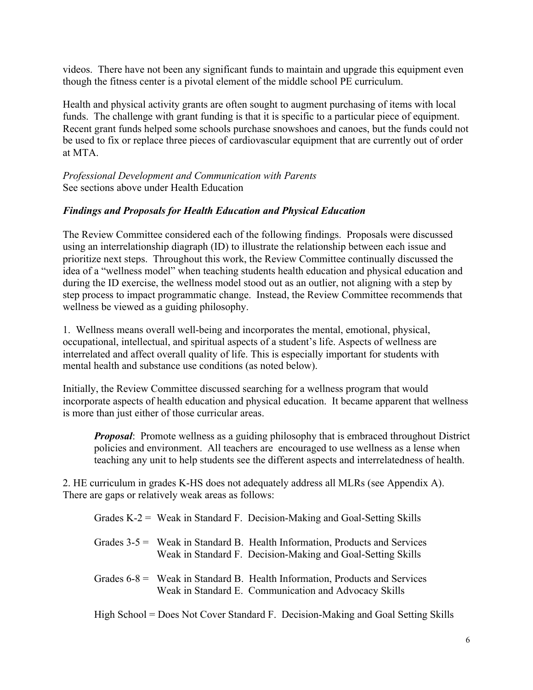videos. There have not been any significant funds to maintain and upgrade this equipment even though the fitness center is a pivotal element of the middle school PE curriculum.

Health and physical activity grants are often sought to augment purchasing of items with local funds. The challenge with grant funding is that it is specific to a particular piece of equipment. Recent grant funds helped some schools purchase snowshoes and canoes, but the funds could not be used to fix or replace three pieces of cardiovascular equipment that are currently out of order at MTA.

*Professional Development and Communication with Parents* See sections above under Health Education

## *Findings and Proposals for Health Education and Physical Education*

The Review Committee considered each of the following findings. Proposals were discussed using an interrelationship diagraph (ID) to illustrate the relationship between each issue and prioritize next steps. Throughout this work, the Review Committee continually discussed the idea of a "wellness model" when teaching students health education and physical education and during the ID exercise, the wellness model stood out as an outlier, not aligning with a step by step process to impact programmatic change. Instead, the Review Committee recommends that wellness be viewed as a guiding philosophy.

1. Wellness means overall well-being and incorporates the mental, emotional, physical, occupational, intellectual, and spiritual aspects of a student's life. Aspects of wellness are interrelated and affect overall quality of life. This is especially important for students with mental health and substance use conditions (as noted below).

Initially, the Review Committee discussed searching for a wellness program that would incorporate aspects of health education and physical education. It became apparent that wellness is more than just either of those curricular areas.

*Proposal*: Promote wellness as a guiding philosophy that is embraced throughout District policies and environment. All teachers are encouraged to use wellness as a lense when teaching any unit to help students see the different aspects and interrelatedness of health.

2. HE curriculum in grades K-HS does not adequately address all MLRs (see Appendix A). There are gaps or relatively weak areas as follows:

|  | Grades $K-2$ = Weak in Standard F. Decision-Making and Goal-Setting Skills                                                                  |
|--|---------------------------------------------------------------------------------------------------------------------------------------------|
|  | Grades $3-5$ = Weak in Standard B. Health Information, Products and Services<br>Weak in Standard F. Decision-Making and Goal-Setting Skills |
|  | Grades $6-8 =$ Weak in Standard B. Health Information, Products and Services<br>Weak in Standard E. Communication and Advocacy Skills       |

High School = Does Not Cover Standard F. Decision-Making and Goal Setting Skills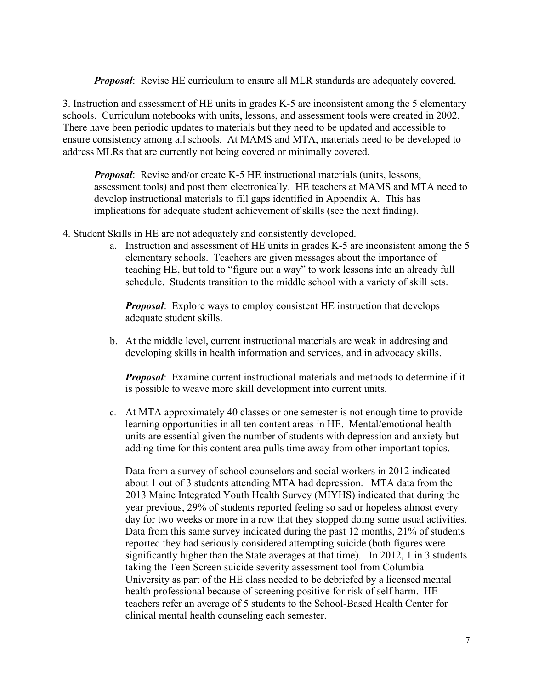*Proposal*: Revise HE curriculum to ensure all MLR standards are adequately covered.

3. Instruction and assessment of HE units in grades K-5 are inconsistent among the 5 elementary schools. Curriculum notebooks with units, lessons, and assessment tools were created in 2002. There have been periodic updates to materials but they need to be updated and accessible to ensure consistency among all schools. At MAMS and MTA, materials need to be developed to address MLRs that are currently not being covered or minimally covered.

*Proposal*: Revise and/or create K-5 HE instructional materials (units, lessons, assessment tools) and post them electronically. HE teachers at MAMS and MTA need to develop instructional materials to fill gaps identified in Appendix A. This has implications for adequate student achievement of skills (see the next finding).

- 4. Student Skills in HE are not adequately and consistently developed.
	- a. Instruction and assessment of HE units in grades K-5 are inconsistent among the 5 elementary schools. Teachers are given messages about the importance of teaching HE, but told to "figure out a way" to work lessons into an already full schedule. Students transition to the middle school with a variety of skill sets.

*Proposal*: Explore ways to employ consistent HE instruction that develops adequate student skills.

b. At the middle level, current instructional materials are weak in addresing and developing skills in health information and services, and in advocacy skills.

*Proposal*: Examine current instructional materials and methods to determine if it is possible to weave more skill development into current units.

c. At MTA approximately 40 classes or one semester is not enough time to provide learning opportunities in all ten content areas in HE. Mental/emotional health units are essential given the number of students with depression and anxiety but adding time for this content area pulls time away from other important topics.

Data from a survey of school counselors and social workers in 2012 indicated about 1 out of 3 students attending MTA had depression. MTA data from the 2013 Maine Integrated Youth Health Survey (MIYHS) indicated that during the year previous, 29% of students reported feeling so sad or hopeless almost every day for two weeks or more in a row that they stopped doing some usual activities. Data from this same survey indicated during the past 12 months, 21% of students reported they had seriously considered attempting suicide (both figures were significantly higher than the State averages at that time). In 2012, 1 in 3 students taking the Teen Screen suicide severity assessment tool from Columbia University as part of the HE class needed to be debriefed by a licensed mental health professional because of screening positive for risk of self harm. HE teachers refer an average of 5 students to the School-Based Health Center for clinical mental health counseling each semester.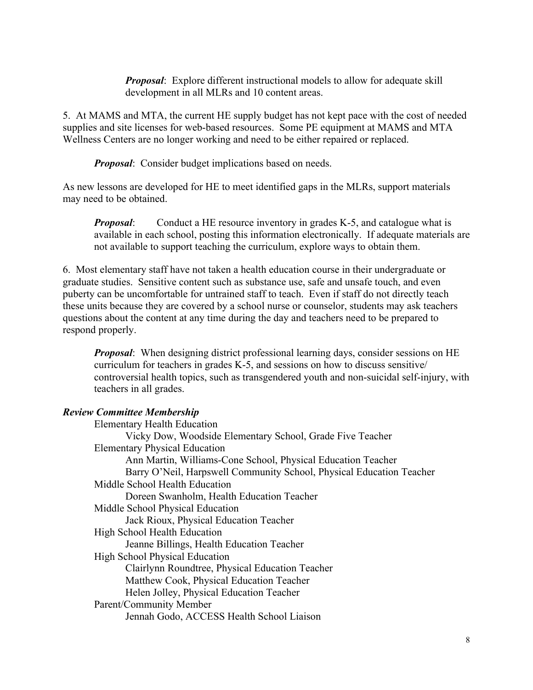*Proposal*: Explore different instructional models to allow for adequate skill development in all MLRs and 10 content areas.

5. At MAMS and MTA, the current HE supply budget has not kept pace with the cost of needed supplies and site licenses for web-based resources. Some PE equipment at MAMS and MTA Wellness Centers are no longer working and need to be either repaired or replaced.

*Proposal:* Consider budget implications based on needs.

As new lessons are developed for HE to meet identified gaps in the MLRs, support materials may need to be obtained.

*Proposal:* Conduct a HE resource inventory in grades K-5, and catalogue what is available in each school, posting this information electronically. If adequate materials are not available to support teaching the curriculum, explore ways to obtain them.

6. Most elementary staff have not taken a health education course in their undergraduate or graduate studies. Sensitive content such as substance use, safe and unsafe touch, and even puberty can be uncomfortable for untrained staff to teach. Even if staff do not directly teach these units because they are covered by a school nurse or counselor, students may ask teachers questions about the content at any time during the day and teachers need to be prepared to respond properly.

*Proposal*: When designing district professional learning days, consider sessions on HE curriculum for teachers in grades K-5, and sessions on how to discuss sensitive/ controversial health topics, such as transgendered youth and non-suicidal self-injury, with teachers in all grades.

## *Review Committee Membership*

| <b>Elementary Health Education</b>                                   |
|----------------------------------------------------------------------|
| Vicky Dow, Woodside Elementary School, Grade Five Teacher            |
| <b>Elementary Physical Education</b>                                 |
| Ann Martin, Williams-Cone School, Physical Education Teacher         |
| Barry O'Neil, Harpswell Community School, Physical Education Teacher |
| Middle School Health Education                                       |
| Doreen Swanholm, Health Education Teacher                            |
| Middle School Physical Education                                     |
| Jack Rioux, Physical Education Teacher                               |
| High School Health Education                                         |
| Jeanne Billings, Health Education Teacher                            |
| <b>High School Physical Education</b>                                |
| Clairlynn Roundtree, Physical Education Teacher                      |
| Matthew Cook, Physical Education Teacher                             |
| Helen Jolley, Physical Education Teacher                             |
| Parent/Community Member                                              |
| Jennah Godo, ACCESS Health School Liaison                            |
|                                                                      |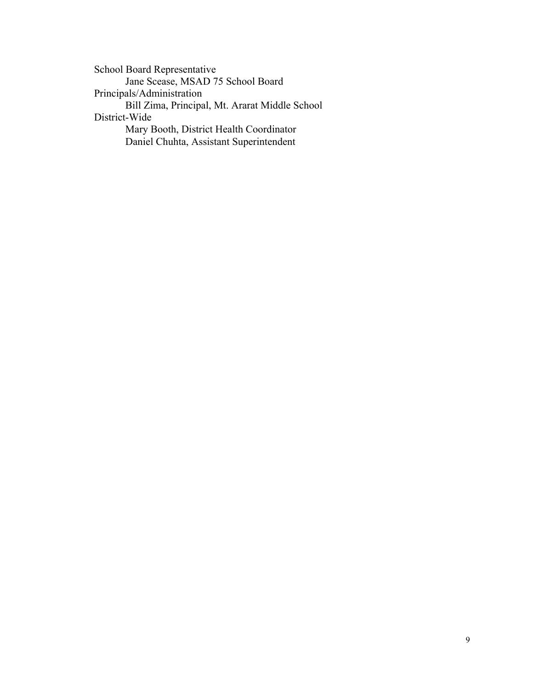School Board Representative Jane Scease, MSAD 75 School Board Principals/Administration Bill Zima, Principal, Mt. Ararat Middle School District-Wide Mary Booth, District Health Coordinator Daniel Chuhta, Assistant Superintendent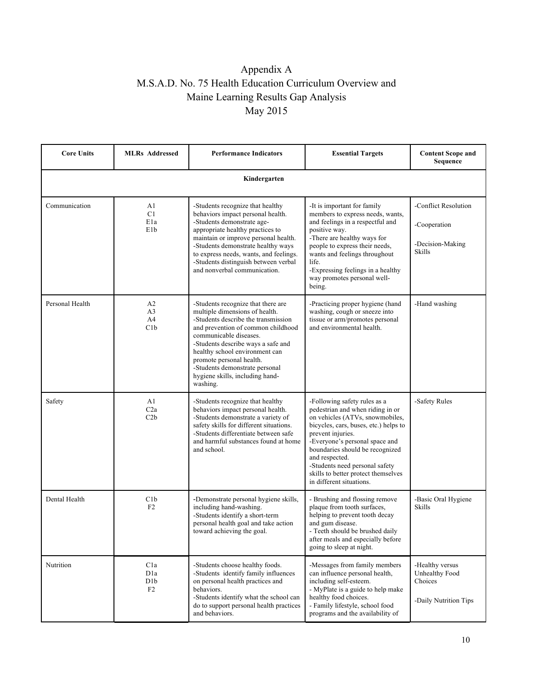# Appendix A M.S.A.D. No. 75 Health Education Curriculum Overview and Maine Learning Results Gap Analysis May 2015

| <b>Core Units</b> | <b>MLRs</b> Addressed                                        | <b>Performance Indicators</b>                                                                                                                                                                                                                                                                                                                                    | <b>Essential Targets</b>                                                                                                                                                                                                                                                                                                                                      | <b>Content Scope and</b><br>Sequence                                  |  |  |
|-------------------|--------------------------------------------------------------|------------------------------------------------------------------------------------------------------------------------------------------------------------------------------------------------------------------------------------------------------------------------------------------------------------------------------------------------------------------|---------------------------------------------------------------------------------------------------------------------------------------------------------------------------------------------------------------------------------------------------------------------------------------------------------------------------------------------------------------|-----------------------------------------------------------------------|--|--|
| Kindergarten      |                                                              |                                                                                                                                                                                                                                                                                                                                                                  |                                                                                                                                                                                                                                                                                                                                                               |                                                                       |  |  |
| Communication     | A1<br>C <sub>1</sub><br>E <sub>1</sub> a<br>E <sub>1</sub> b | -Students recognize that healthy<br>behaviors impact personal health.<br>-Students demonstrate age-<br>appropriate healthy practices to<br>maintain or improve personal health.<br>-Students demonstrate healthy ways<br>to express needs, wants, and feelings.<br>-Students distinguish between verbal<br>and nonverbal communication.                          | -It is important for family<br>members to express needs, wants,<br>and feelings in a respectful and<br>positive way.<br>-There are healthy ways for<br>people to express their needs,<br>wants and feelings throughout<br>life.<br>-Expressing feelings in a healthy<br>way promotes personal well-<br>being.                                                 | -Conflict Resolution<br>-Cooperation<br>-Decision-Making<br>Skills    |  |  |
| Personal Health   | A2<br>A <sub>3</sub><br>A4<br>C1b                            | -Students recognize that there are<br>multiple dimensions of health.<br>-Students describe the transmission<br>and prevention of common childhood<br>communicable diseases.<br>-Students describe ways a safe and<br>healthy school environment can<br>promote personal health.<br>-Students demonstrate personal<br>hygiene skills, including hand-<br>washing. | -Practicing proper hygiene (hand<br>washing, cough or sneeze into<br>tissue or arm/promotes personal<br>and environmental health.                                                                                                                                                                                                                             | -Hand washing                                                         |  |  |
| Safety            | A <sub>1</sub><br>C2a<br>C2b                                 | -Students recognize that healthy<br>behaviors impact personal health.<br>-Students demonstrate a variety of<br>safety skills for different situations.<br>-Students differentiate between safe<br>and harmful substances found at home<br>and school.                                                                                                            | -Following safety rules as a<br>pedestrian and when riding in or<br>on vehicles (ATVs, snowmobiles,<br>bicycles, cars, buses, etc.) helps to<br>prevent injuries.<br>-Everyone's personal space and<br>boundaries should be recognized<br>and respected.<br>-Students need personal safety<br>skills to better protect themselves<br>in different situations. | -Safety Rules                                                         |  |  |
| Dental Health     | C1b<br>F2                                                    | -Demonstrate personal hygiene skills,<br>including hand-washing.<br>-Students identify a short-term<br>personal health goal and take action<br>toward achieving the goal.                                                                                                                                                                                        | - Brushing and flossing remove<br>plaque from tooth surfaces,<br>helping to prevent tooth decay<br>and gum disease.<br>- Teeth should be brushed daily<br>after meals and especially before<br>going to sleep at night.                                                                                                                                       | -Basic Oral Hygiene<br>Skills                                         |  |  |
| Nutrition         | C1a<br>D <sub>1</sub> a<br>D <sub>1</sub> b<br>F2            | -Students choose healthy foods.<br>-Students identify family influences<br>on personal health practices and<br>behaviors.<br>-Students identify what the school can<br>do to support personal health practices<br>and behaviors.                                                                                                                                 | -Messages from family members<br>can influence personal health,<br>including self-esteem.<br>- MyPlate is a guide to help make<br>healthy food choices.<br>- Family lifestyle, school food<br>programs and the availability of                                                                                                                                | -Healthy versus<br>Unhealthy Food<br>Choices<br>-Daily Nutrition Tips |  |  |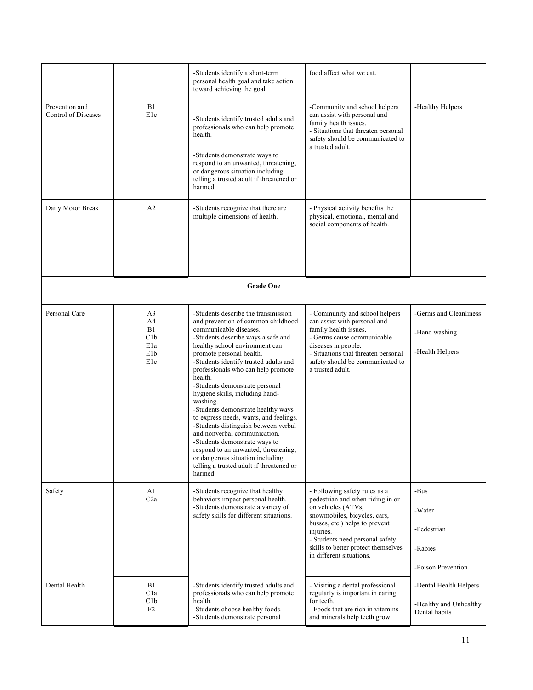|                                       |                                                                                  | -Students identify a short-term<br>personal health goal and take action<br>toward achieving the goal.                                                                                                                                                                                                                                                                                                                                                                                                                                                                                                                                                                                                          | food affect what we eat.                                                                                                                                                                                                                                                     |                                                                   |
|---------------------------------------|----------------------------------------------------------------------------------|----------------------------------------------------------------------------------------------------------------------------------------------------------------------------------------------------------------------------------------------------------------------------------------------------------------------------------------------------------------------------------------------------------------------------------------------------------------------------------------------------------------------------------------------------------------------------------------------------------------------------------------------------------------------------------------------------------------|------------------------------------------------------------------------------------------------------------------------------------------------------------------------------------------------------------------------------------------------------------------------------|-------------------------------------------------------------------|
| Prevention and<br>Control of Diseases | B1<br>E1e                                                                        | -Students identify trusted adults and<br>professionals who can help promote<br>health.<br>-Students demonstrate ways to<br>respond to an unwanted, threatening,<br>or dangerous situation including<br>telling a trusted adult if threatened or<br>harmed.                                                                                                                                                                                                                                                                                                                                                                                                                                                     | -Community and school helpers<br>can assist with personal and<br>family health issues.<br>- Situations that threaten personal<br>safety should be communicated to<br>a trusted adult.                                                                                        | -Healthy Helpers                                                  |
| Daily Motor Break                     | A2                                                                               | -Students recognize that there are<br>multiple dimensions of health.                                                                                                                                                                                                                                                                                                                                                                                                                                                                                                                                                                                                                                           | - Physical activity benefits the<br>physical, emotional, mental and<br>social components of health.                                                                                                                                                                          |                                                                   |
|                                       |                                                                                  | <b>Grade One</b>                                                                                                                                                                                                                                                                                                                                                                                                                                                                                                                                                                                                                                                                                               |                                                                                                                                                                                                                                                                              |                                                                   |
| Personal Care                         | A <sub>3</sub><br>A4<br>B1<br>C1b<br>E <sub>1</sub> a<br>E <sub>1</sub> b<br>E1e | -Students describe the transmission<br>and prevention of common childhood<br>communicable diseases.<br>-Students describe ways a safe and<br>healthy school environment can<br>promote personal health.<br>-Students identify trusted adults and<br>professionals who can help promote<br>health.<br>-Students demonstrate personal<br>hygiene skills, including hand-<br>washing.<br>-Students demonstrate healthy ways<br>to express needs, wants, and feelings.<br>-Students distinguish between verbal<br>and nonverbal communication.<br>-Students demonstrate ways to<br>respond to an unwanted, threatening,<br>or dangerous situation including<br>telling a trusted adult if threatened or<br>harmed. | - Community and school helpers<br>can assist with personal and<br>family health issues.<br>- Germs cause communicable<br>diseases in people.<br>- Situations that threaten personal<br>safety should be communicated to<br>a trusted adult.                                  | -Germs and Cleanliness<br>-Hand washing<br>-Health Helpers        |
| Safety                                | A1<br>C2a                                                                        | -Students recognize that healthy<br>behaviors impact personal health.<br>-Students demonstrate a variety of<br>safety skills for different situations.                                                                                                                                                                                                                                                                                                                                                                                                                                                                                                                                                         | - Following safety rules as a<br>pedestrian and when riding in or<br>on vehicles (ATVs,<br>snowmobiles, bicycles, cars,<br>busses, etc.) helps to prevent<br>injuries.<br>- Students need personal safety<br>skills to better protect themselves<br>in different situations. | -Bus<br>-Water<br>-Pedestrian<br>-Rabies<br>-Poison Prevention    |
| Dental Health                         | B1<br>C1a<br>C1b<br>F2                                                           | -Students identify trusted adults and<br>professionals who can help promote<br>health.<br>-Students choose healthy foods.<br>-Students demonstrate personal                                                                                                                                                                                                                                                                                                                                                                                                                                                                                                                                                    | - Visiting a dental professional<br>regularly is important in caring<br>for teeth.<br>- Foods that are rich in vitamins<br>and minerals help teeth grow.                                                                                                                     | -Dental Health Helpers<br>-Healthy and Unhealthy<br>Dental habits |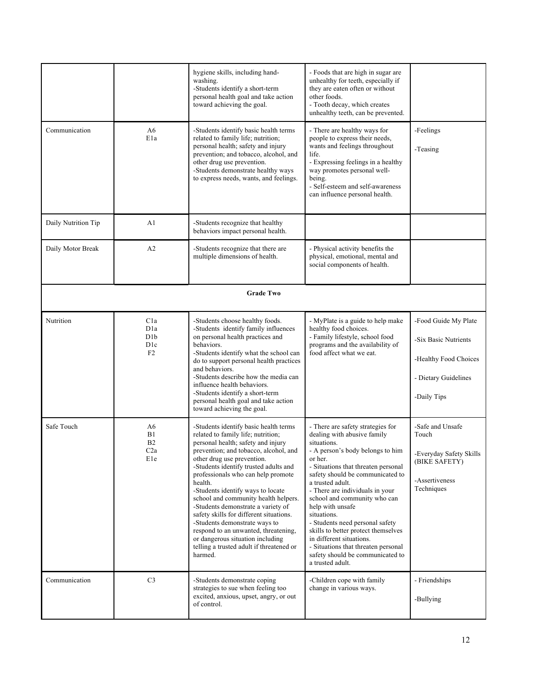| Communication       | A6<br>E1a                                                             | hygiene skills, including hand-<br>washing.<br>-Students identify a short-term<br>personal health goal and take action<br>toward achieving the goal.<br>-Students identify basic health terms<br>related to family life; nutrition;<br>personal health; safety and injury<br>prevention; and tobacco, alcohol, and<br>other drug use prevention.<br>-Students demonstrate healthy ways<br>to express needs, wants, and feelings.                                                                                                                                                                                     | - Foods that are high in sugar are<br>unhealthy for teeth, especially if<br>they are eaten often or without<br>other foods.<br>- Tooth decay, which creates<br>unhealthy teeth, can be prevented.<br>- There are healthy ways for<br>people to express their needs,<br>wants and feelings throughout<br>life.<br>- Expressing feelings in a healthy<br>way promotes personal well-<br>being.<br>- Self-esteem and self-awareness<br>can influence personal health.                                                                       | -Feelings<br>-Teasing                                                                                        |  |  |
|---------------------|-----------------------------------------------------------------------|----------------------------------------------------------------------------------------------------------------------------------------------------------------------------------------------------------------------------------------------------------------------------------------------------------------------------------------------------------------------------------------------------------------------------------------------------------------------------------------------------------------------------------------------------------------------------------------------------------------------|------------------------------------------------------------------------------------------------------------------------------------------------------------------------------------------------------------------------------------------------------------------------------------------------------------------------------------------------------------------------------------------------------------------------------------------------------------------------------------------------------------------------------------------|--------------------------------------------------------------------------------------------------------------|--|--|
| Daily Nutrition Tip | A1                                                                    | -Students recognize that healthy<br>behaviors impact personal health.                                                                                                                                                                                                                                                                                                                                                                                                                                                                                                                                                |                                                                                                                                                                                                                                                                                                                                                                                                                                                                                                                                          |                                                                                                              |  |  |
| Daily Motor Break   | A <sub>2</sub>                                                        | -Students recognize that there are<br>multiple dimensions of health.                                                                                                                                                                                                                                                                                                                                                                                                                                                                                                                                                 | - Physical activity benefits the<br>physical, emotional, mental and<br>social components of health.                                                                                                                                                                                                                                                                                                                                                                                                                                      |                                                                                                              |  |  |
|                     | <b>Grade Two</b>                                                      |                                                                                                                                                                                                                                                                                                                                                                                                                                                                                                                                                                                                                      |                                                                                                                                                                                                                                                                                                                                                                                                                                                                                                                                          |                                                                                                              |  |  |
| Nutrition           | C1a<br>D <sub>1</sub> a<br>D <sub>1</sub> b<br>D <sub>1</sub> c<br>F2 | -Students choose healthy foods.<br>-Students identify family influences<br>on personal health practices and<br>behaviors.<br>-Students identify what the school can<br>do to support personal health practices<br>and behaviors.<br>-Students describe how the media can<br>influence health behaviors.<br>-Students identify a short-term<br>personal health goal and take action<br>toward achieving the goal.                                                                                                                                                                                                     | - MyPlate is a guide to help make<br>healthy food choices.<br>- Family lifestyle, school food<br>programs and the availability of<br>food affect what we eat.                                                                                                                                                                                                                                                                                                                                                                            | -Food Guide My Plate<br>-Six Basic Nutrients<br>-Healthy Food Choices<br>- Dietary Guidelines<br>-Daily Tips |  |  |
| Safe Touch          | A6<br>B1<br>B <sub>2</sub><br>C2a<br>E1e                              | -Students identify basic health terms<br>related to family life; nutrition;<br>personal health; safety and injury<br>prevention; and tobacco, alcohol, and<br>other drug use prevention.<br>-Students identify trusted adults and<br>professionals who can help promote<br>health.<br>-Students identify ways to locate<br>school and community health helpers.<br>-Students demonstrate a variety of<br>safety skills for different situations.<br>-Students demonstrate ways to<br>respond to an unwanted, threatening,<br>or dangerous situation including<br>telling a trusted adult if threatened or<br>harmed. | - There are safety strategies for<br>dealing with abusive family<br>situations.<br>- A person's body belongs to him<br>or her.<br>- Situations that threaten personal<br>safety should be communicated to<br>a trusted adult.<br>- There are individuals in your<br>school and community who can<br>help with unsafe<br>situations.<br>- Students need personal safety<br>skills to better protect themselves<br>in different situations.<br>- Situations that threaten personal<br>safety should be communicated to<br>a trusted adult. | -Safe and Unsafe<br>Touch<br>-Everyday Safety Skills<br>(BIKE SAFETY)<br>-Assertiveness<br>Techniques        |  |  |
| Communication       | C <sub>3</sub>                                                        | -Students demonstrate coping<br>strategies to sue when feeling too<br>excited, anxious, upset, angry, or out<br>of control.                                                                                                                                                                                                                                                                                                                                                                                                                                                                                          | -Children cope with family<br>change in various ways.                                                                                                                                                                                                                                                                                                                                                                                                                                                                                    | - Friendships<br>-Bullying                                                                                   |  |  |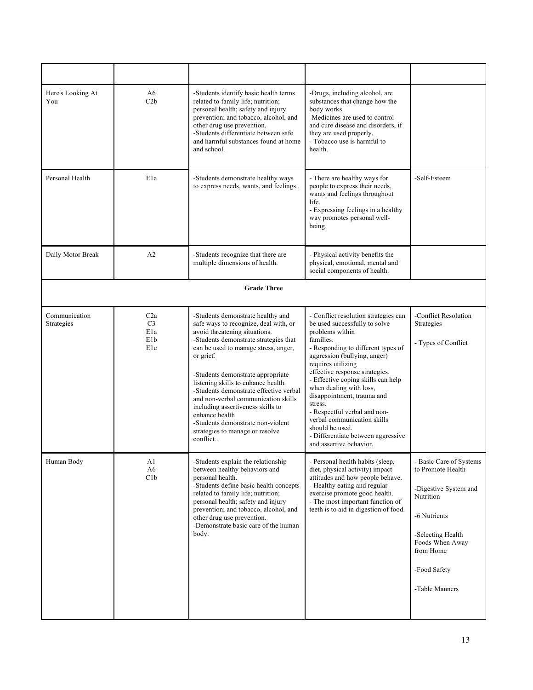| Here's Looking At<br>You    | A6<br>C2b                                               | -Students identify basic health terms<br>related to family life; nutrition;<br>personal health; safety and injury<br>prevention; and tobacco, alcohol, and<br>other drug use prevention.<br>-Students differentiate between safe<br>and harmful substances found at home<br>and school.                                                                                                                                                                                                                           | -Drugs, including alcohol, are<br>substances that change how the<br>body works.<br>-Medicines are used to control<br>and cure disease and disorders, if<br>they are used properly.<br>- Tobacco use is harmful to<br>health.                                                                                                                                                                                                                                                                     |                                                                                                                                                                                           |
|-----------------------------|---------------------------------------------------------|-------------------------------------------------------------------------------------------------------------------------------------------------------------------------------------------------------------------------------------------------------------------------------------------------------------------------------------------------------------------------------------------------------------------------------------------------------------------------------------------------------------------|--------------------------------------------------------------------------------------------------------------------------------------------------------------------------------------------------------------------------------------------------------------------------------------------------------------------------------------------------------------------------------------------------------------------------------------------------------------------------------------------------|-------------------------------------------------------------------------------------------------------------------------------------------------------------------------------------------|
| Personal Health             | E <sub>1</sub> a                                        | -Students demonstrate healthy ways<br>to express needs, wants, and feelings                                                                                                                                                                                                                                                                                                                                                                                                                                       | - There are healthy ways for<br>people to express their needs,<br>wants and feelings throughout<br>life.<br>- Expressing feelings in a healthy<br>way promotes personal well-<br>being.                                                                                                                                                                                                                                                                                                          | -Self-Esteem                                                                                                                                                                              |
| Daily Motor Break           | A <sub>2</sub>                                          | -Students recognize that there are<br>multiple dimensions of health.                                                                                                                                                                                                                                                                                                                                                                                                                                              | - Physical activity benefits the<br>physical, emotional, mental and<br>social components of health.                                                                                                                                                                                                                                                                                                                                                                                              |                                                                                                                                                                                           |
|                             |                                                         | <b>Grade Three</b>                                                                                                                                                                                                                                                                                                                                                                                                                                                                                                |                                                                                                                                                                                                                                                                                                                                                                                                                                                                                                  |                                                                                                                                                                                           |
| Communication<br>Strategies | C2a<br>C <sub>3</sub><br>E <sub>1</sub> a<br>E1b<br>E1e | -Students demonstrate healthy and<br>safe ways to recognize, deal with, or<br>avoid threatening situations.<br>-Students demonstrate strategies that<br>can be used to manage stress, anger,<br>or grief.<br>-Students demonstrate appropriate<br>listening skills to enhance health.<br>-Students demonstrate effective verbal<br>and non-verbal communication skills<br>including assertiveness skills to<br>enhance health<br>-Students demonstrate non-violent<br>strategies to manage or resolve<br>conflict | - Conflict resolution strategies can<br>be used successfully to solve<br>problems within<br>families.<br>- Responding to different types of<br>aggression (bullying, anger)<br>requires utilizing<br>effective response strategies.<br>- Effective coping skills can help<br>when dealing with loss,<br>disappointment, trauma and<br>stress.<br>- Respectful verbal and non-<br>verbal communication skills<br>should be used.<br>- Differentiate between aggressive<br>and assertive behavior. | -Conflict Resolution<br>Strategies<br>- Types of Conflict                                                                                                                                 |
| Human Body                  | A1<br>A6<br>C1b                                         | -Students explain the relationship<br>between healthy behaviors and<br>personal health.<br>-Students define basic health concepts<br>related to family life; nutrition;<br>personal health; safety and injury<br>prevention; and tobacco, alcohol, and<br>other drug use prevention.<br>-Demonstrate basic care of the human<br>body.                                                                                                                                                                             | - Personal health habits (sleep,<br>diet, physical activity) impact<br>attitudes and how people behave.<br>- Healthy eating and regular<br>exercise promote good health.<br>- The most important function of<br>teeth is to aid in digestion of food.                                                                                                                                                                                                                                            | - Basic Care of Systems<br>to Promote Health<br>-Digestive System and<br>Nutrition<br>-6 Nutrients<br>-Selecting Health<br>Foods When Away<br>from Home<br>-Food Safety<br>-Table Manners |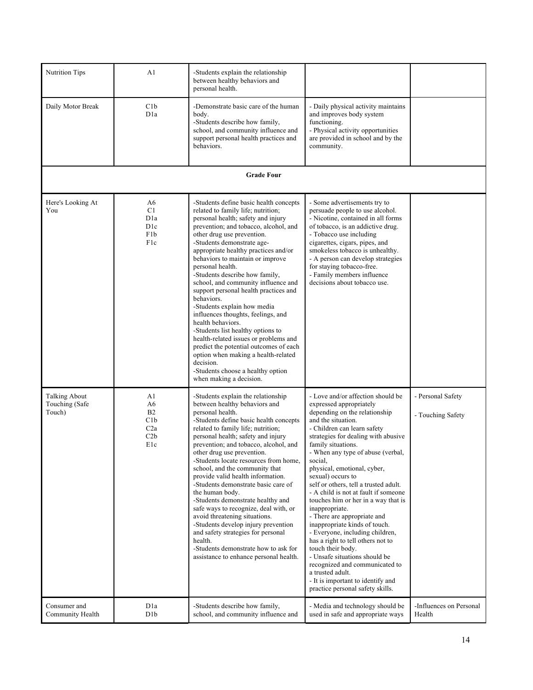| Nutrition Tips                                   | A1                                                                                                  | -Students explain the relationship<br>between healthy behaviors and<br>personal health.                                                                                                                                                                                                                                                                                                                                                                                                                                                                                                                                                                                                                                                                                                       |                                                                                                                                                                                                                                                                                                                                                                                                                                                                                                                                                                                                                                                                                                                                                                                            |                                        |
|--------------------------------------------------|-----------------------------------------------------------------------------------------------------|-----------------------------------------------------------------------------------------------------------------------------------------------------------------------------------------------------------------------------------------------------------------------------------------------------------------------------------------------------------------------------------------------------------------------------------------------------------------------------------------------------------------------------------------------------------------------------------------------------------------------------------------------------------------------------------------------------------------------------------------------------------------------------------------------|--------------------------------------------------------------------------------------------------------------------------------------------------------------------------------------------------------------------------------------------------------------------------------------------------------------------------------------------------------------------------------------------------------------------------------------------------------------------------------------------------------------------------------------------------------------------------------------------------------------------------------------------------------------------------------------------------------------------------------------------------------------------------------------------|----------------------------------------|
| Daily Motor Break                                | C1b<br>D <sub>1</sub> a                                                                             | -Demonstrate basic care of the human<br>body.<br>-Students describe how family,<br>school, and community influence and<br>support personal health practices and<br>behaviors.                                                                                                                                                                                                                                                                                                                                                                                                                                                                                                                                                                                                                 | - Daily physical activity maintains<br>and improves body system<br>functioning.<br>- Physical activity opportunities<br>are provided in school and by the<br>community.                                                                                                                                                                                                                                                                                                                                                                                                                                                                                                                                                                                                                    |                                        |
|                                                  |                                                                                                     | <b>Grade Four</b>                                                                                                                                                                                                                                                                                                                                                                                                                                                                                                                                                                                                                                                                                                                                                                             |                                                                                                                                                                                                                                                                                                                                                                                                                                                                                                                                                                                                                                                                                                                                                                                            |                                        |
| Here's Looking At<br>You                         | A <sub>6</sub><br>C <sub>1</sub><br>D <sub>1</sub> a<br>D <sub>1</sub> c<br>F <sub>1</sub> b<br>F1c | -Students define basic health concepts<br>related to family life; nutrition;<br>personal health; safety and injury<br>prevention; and tobacco, alcohol, and<br>other drug use prevention.<br>-Students demonstrate age-<br>appropriate healthy practices and/or<br>behaviors to maintain or improve<br>personal health.<br>-Students describe how family,<br>school, and community influence and<br>support personal health practices and<br>behaviors.<br>-Students explain how media<br>influences thoughts, feelings, and<br>health behaviors.<br>-Students list healthy options to<br>health-related issues or problems and<br>predict the potential outcomes of each<br>option when making a health-related<br>decision.<br>-Students choose a healthy option<br>when making a decision. | - Some advertisements try to<br>persuade people to use alcohol.<br>- Nicotine, contained in all forms<br>of tobacco, is an addictive drug.<br>- Tobacco use including<br>cigarettes, cigars, pipes, and<br>smokeless tobacco is unhealthy.<br>- A person can develop strategies<br>for staying tobacco-free.<br>- Family members influence<br>decisions about tobacco use.                                                                                                                                                                                                                                                                                                                                                                                                                 |                                        |
| <b>Talking About</b><br>Touching (Safe<br>Touch) | A1<br>A6<br>B <sub>2</sub><br>C1b<br>C2a<br>C2b<br>E1c                                              | -Students explain the relationship<br>between healthy behaviors and<br>personal health.<br>-Students define basic health concepts<br>related to family life; nutrition;<br>personal health; safety and injury<br>prevention; and tobacco, alcohol, and<br>other drug use prevention.<br>-Students locate resources from home,<br>school, and the community that<br>provide valid health information.<br>-Students demonstrate basic care of<br>the human body.<br>-Students demonstrate healthy and<br>safe ways to recognize, deal with, or<br>avoid threatening situations.<br>-Students develop injury prevention<br>and safety strategies for personal<br>health.<br>-Students demonstrate how to ask for<br>assistance to enhance personal health.                                       | - Love and/or affection should be<br>expressed appropriately<br>depending on the relationship<br>and the situation.<br>- Children can learn safety<br>strategies for dealing with abusive<br>family situations.<br>- When any type of abuse (verbal,<br>social,<br>physical, emotional, cyber,<br>sexual) occurs to<br>self or others, tell a trusted adult.<br>- A child is not at fault if someone<br>touches him or her in a way that is<br>inappropriate.<br>- There are appropriate and<br>inappropriate kinds of touch.<br>- Everyone, including children,<br>has a right to tell others not to<br>touch their body.<br>- Unsafe situations should be<br>recognized and communicated to<br>a trusted adult.<br>- It is important to identify and<br>practice personal safety skills. | - Personal Safety<br>- Touching Safety |
| Consumer and<br>Community Health                 | D <sub>1</sub> a<br>D1b                                                                             | -Students describe how family,<br>school, and community influence and                                                                                                                                                                                                                                                                                                                                                                                                                                                                                                                                                                                                                                                                                                                         | - Media and technology should be<br>used in safe and appropriate ways                                                                                                                                                                                                                                                                                                                                                                                                                                                                                                                                                                                                                                                                                                                      | -Influences on Personal<br>Health      |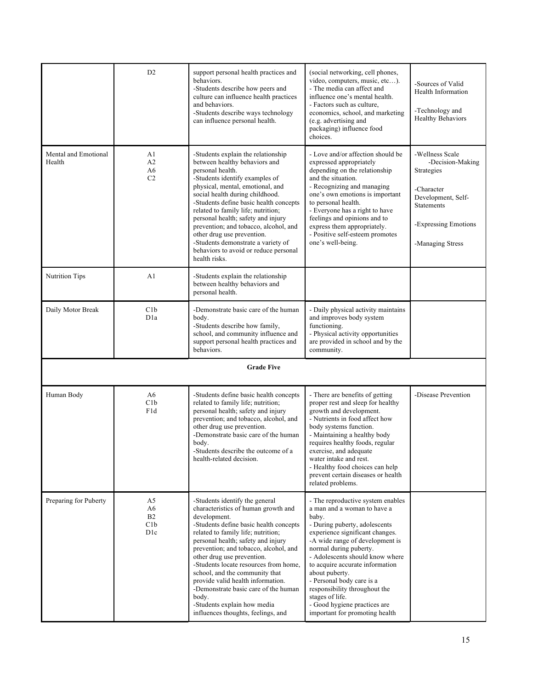|                                | D2                                                                   | support personal health practices and<br>behaviors.<br>-Students describe how peers and<br>culture can influence health practices<br>and behaviors.<br>-Students describe ways technology<br>can influence personal health.                                                                                                                                                                                                                                                                                              | (social networking, cell phones,<br>video, computers, music, etc).<br>- The media can affect and<br>influence one's mental health.<br>- Factors such as culture,<br>economics, school, and marketing<br>(e.g. advertising and<br>packaging) influence food<br>choices.                                                                                                                                                                                | -Sources of Valid<br>Health Information<br>-Technology and<br><b>Healthy Behaviors</b>                                                                 |
|--------------------------------|----------------------------------------------------------------------|--------------------------------------------------------------------------------------------------------------------------------------------------------------------------------------------------------------------------------------------------------------------------------------------------------------------------------------------------------------------------------------------------------------------------------------------------------------------------------------------------------------------------|-------------------------------------------------------------------------------------------------------------------------------------------------------------------------------------------------------------------------------------------------------------------------------------------------------------------------------------------------------------------------------------------------------------------------------------------------------|--------------------------------------------------------------------------------------------------------------------------------------------------------|
| Mental and Emotional<br>Health | A <sub>1</sub><br>A <sub>2</sub><br>A <sub>6</sub><br>C <sub>2</sub> | -Students explain the relationship<br>between healthy behaviors and<br>personal health.<br>-Students identify examples of<br>physical, mental, emotional, and<br>social health during childhood.<br>-Students define basic health concepts<br>related to family life; nutrition;<br>personal health; safety and injury<br>prevention; and tobacco, alcohol, and<br>other drug use prevention.<br>-Students demonstrate a variety of<br>behaviors to avoid or reduce personal<br>health risks.                            | - Love and/or affection should be<br>expressed appropriately<br>depending on the relationship<br>and the situation.<br>- Recognizing and managing<br>one's own emotions is important<br>to personal health.<br>- Everyone has a right to have<br>feelings and opinions and to<br>express them appropriately.<br>- Positive self-esteem promotes<br>one's well-being.                                                                                  | -Wellness Scale<br>-Decision-Making<br>Strategies<br>-Character<br>Development, Self-<br><b>Statements</b><br>-Expressing Emotions<br>-Managing Stress |
| <b>Nutrition Tips</b>          | A <sub>1</sub>                                                       | -Students explain the relationship<br>between healthy behaviors and<br>personal health.                                                                                                                                                                                                                                                                                                                                                                                                                                  |                                                                                                                                                                                                                                                                                                                                                                                                                                                       |                                                                                                                                                        |
| Daily Motor Break              | C1b<br>D <sub>1</sub> a                                              | -Demonstrate basic care of the human<br>body.<br>-Students describe how family,<br>school, and community influence and<br>support personal health practices and<br>behaviors.                                                                                                                                                                                                                                                                                                                                            | - Daily physical activity maintains<br>and improves body system<br>functioning.<br>- Physical activity opportunities<br>are provided in school and by the<br>community.                                                                                                                                                                                                                                                                               |                                                                                                                                                        |
|                                |                                                                      | <b>Grade Five</b>                                                                                                                                                                                                                                                                                                                                                                                                                                                                                                        |                                                                                                                                                                                                                                                                                                                                                                                                                                                       |                                                                                                                                                        |
| Human Body                     | A6<br>C1b<br>F1d                                                     | -Students define basic health concepts<br>related to family life; nutrition;<br>personal health; safety and injury<br>prevention; and tobacco, alcohol, and<br>other drug use prevention.<br>-Demonstrate basic care of the human<br>body.<br>-Students describe the outcome of a<br>health-related decision.                                                                                                                                                                                                            | - There are benefits of getting<br>proper rest and sleep for healthy<br>growth and development.<br>- Nutrients in food affect how<br>body systems function.<br>- Maintaining a healthy body<br>requires healthy foods, regular<br>exercise, and adequate<br>water intake and rest.<br>- Healthy food choices can help<br>prevent certain diseases or health<br>related problems.                                                                      | -Disease Prevention                                                                                                                                    |
| Preparing for Puberty          | A5<br>A6<br>B <sub>2</sub><br>C1b<br>D <sub>1</sub> c                | -Students identify the general<br>characteristics of human growth and<br>development.<br>-Students define basic health concepts<br>related to family life; nutrition;<br>personal health; safety and injury<br>prevention; and tobacco, alcohol, and<br>other drug use prevention.<br>-Students locate resources from home,<br>school, and the community that<br>provide valid health information.<br>-Demonstrate basic care of the human<br>body.<br>-Students explain how media<br>influences thoughts, feelings, and | - The reproductive system enables<br>a man and a woman to have a<br>baby.<br>- During puberty, adolescents<br>experience significant changes.<br>-A wide range of development is<br>normal during puberty.<br>- Adolescents should know where<br>to acquire accurate information<br>about puberty.<br>- Personal body care is a<br>responsibility throughout the<br>stages of life.<br>- Good hygiene practices are<br>important for promoting health |                                                                                                                                                        |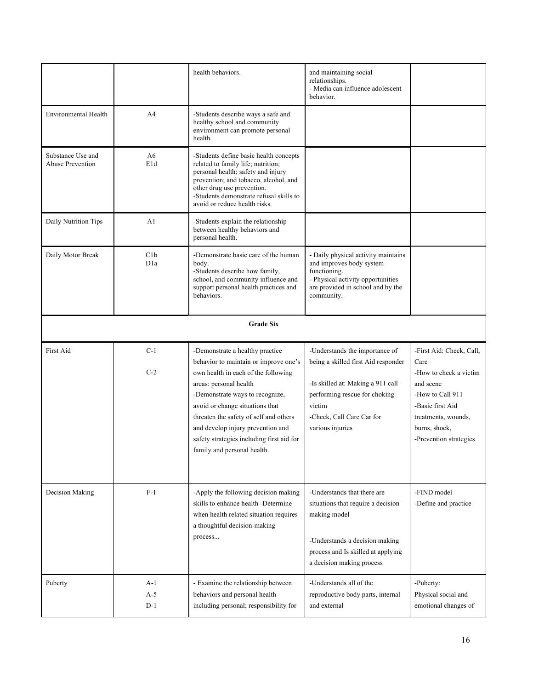|                                       |                         | health behaviors.                                                                                                                                                                                                                                                                                                                                                          | and maintaining social<br>relationships.<br>- Media can influence adolescent<br>behavior.                                                                                                              |                                                                                                                                                                                   |
|---------------------------------------|-------------------------|----------------------------------------------------------------------------------------------------------------------------------------------------------------------------------------------------------------------------------------------------------------------------------------------------------------------------------------------------------------------------|--------------------------------------------------------------------------------------------------------------------------------------------------------------------------------------------------------|-----------------------------------------------------------------------------------------------------------------------------------------------------------------------------------|
| <b>Environmental Health</b>           | A4                      | -Students describe ways a safe and<br>healthy school and community<br>environment can promote personal<br>health.                                                                                                                                                                                                                                                          |                                                                                                                                                                                                        |                                                                                                                                                                                   |
| Substance Use and<br>Abuse Prevention | A6<br>E1d               | -Students define basic health concepts<br>related to family life; nutrition;<br>personal health; safety and injury<br>prevention; and tobacco, alcohol, and<br>other drug use prevention.<br>-Students demonstrate refusal skills to<br>avoid or reduce health risks.                                                                                                      |                                                                                                                                                                                                        |                                                                                                                                                                                   |
| Daily Nutrition Tips                  | A1                      | -Students explain the relationship<br>between healthy behaviors and<br>personal health.                                                                                                                                                                                                                                                                                    |                                                                                                                                                                                                        |                                                                                                                                                                                   |
| Daily Motor Break                     | C1b<br>D <sub>1</sub> a | -Demonstrate basic care of the human<br>body.<br>-Students describe how family,<br>school, and community influence and<br>support personal health practices and<br>behaviors.                                                                                                                                                                                              | - Daily physical activity maintains<br>and improves body system<br>functioning.<br>- Physical activity opportunities<br>are provided in school and by the<br>community.                                |                                                                                                                                                                                   |
|                                       |                         | <b>Grade Six</b>                                                                                                                                                                                                                                                                                                                                                           |                                                                                                                                                                                                        |                                                                                                                                                                                   |
| First Aid                             | $C-1$<br>$C-2$          | -Demonstrate a healthy practice<br>behavior to maintain or improve one's<br>own health in each of the following<br>areas: personal health<br>-Demonstrate ways to recognize,<br>avoid or change situations that<br>threaten the safety of self and others<br>and develop injury prevention and<br>safety strategies including first aid for<br>family and personal health. | -Understands the importance of<br>being a skilled first Aid responder<br>-Is skilled at: Making a 911 call<br>performing rescue for choking<br>victim<br>-Check, Call Care Car for<br>various injuries | -First Aid: Check, Call,<br>Care<br>-How to check a victim<br>and scene<br>-How to Call 911<br>-Basic first Aid<br>treatments, wounds,<br>burns, shock,<br>-Prevention strategies |
| Decision Making                       | $F-1$                   | -Apply the following decision making<br>skills to enhance health -Determine<br>when health related situation requires<br>a thoughtful decision-making<br>process                                                                                                                                                                                                           | -Understands that there are<br>situations that require a decision<br>making model<br>-Understands a decision making<br>process and Is skilled at applying<br>a decision making process                 | -FIND model<br>-Define and practice                                                                                                                                               |
| Puberty                               | $A-1$<br>$A-5$<br>$D-1$ | - Examine the relationship between<br>behaviors and personal health<br>including personal; responsibility for                                                                                                                                                                                                                                                              | -Understands all of the<br>reproductive body parts, internal<br>and external                                                                                                                           | -Puberty:<br>Physical social and<br>emotional changes of                                                                                                                          |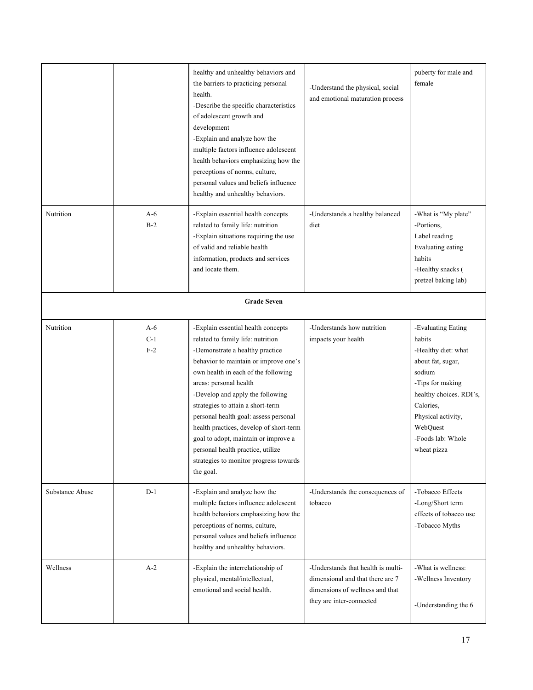|                 |                         | healthy and unhealthy behaviors and<br>the barriers to practicing personal<br>health.<br>-Describe the specific characteristics<br>of adolescent growth and<br>development<br>-Explain and analyze how the<br>multiple factors influence adolescent<br>health behaviors emphasizing how the<br>perceptions of norms, culture,<br>personal values and beliefs influence<br>healthy and unhealthy behaviors.                                                                                                            | -Understand the physical, social<br>and emotional maturation process                                                                  | puberty for male and<br>female                                                                                                                                                                                       |
|-----------------|-------------------------|-----------------------------------------------------------------------------------------------------------------------------------------------------------------------------------------------------------------------------------------------------------------------------------------------------------------------------------------------------------------------------------------------------------------------------------------------------------------------------------------------------------------------|---------------------------------------------------------------------------------------------------------------------------------------|----------------------------------------------------------------------------------------------------------------------------------------------------------------------------------------------------------------------|
| Nutrition       | $A-6$<br>$B-2$          | -Explain essential health concepts<br>related to family life: nutrition<br>-Explain situations requiring the use<br>of valid and reliable health<br>information, products and services<br>and locate them.                                                                                                                                                                                                                                                                                                            | -Understands a healthy balanced<br>diet                                                                                               | -What is "My plate"<br>-Portions,<br>Label reading<br>Evaluating eating<br>habits<br>-Healthy snacks (<br>pretzel baking lab)                                                                                        |
|                 |                         | <b>Grade Seven</b>                                                                                                                                                                                                                                                                                                                                                                                                                                                                                                    |                                                                                                                                       |                                                                                                                                                                                                                      |
| Nutrition       | $A-6$<br>$C-1$<br>$F-2$ | -Explain essential health concepts<br>related to family life: nutrition<br>-Demonstrate a healthy practice<br>behavior to maintain or improve one's<br>own health in each of the following<br>areas: personal health<br>-Develop and apply the following<br>strategies to attain a short-term<br>personal health goal: assess personal<br>health practices, develop of short-term<br>goal to adopt, maintain or improve a<br>personal health practice, utilize<br>strategies to monitor progress towards<br>the goal. | -Understands how nutrition<br>impacts your health                                                                                     | -Evaluating Eating<br>habits<br>-Healthy diet: what<br>about fat, sugar,<br>sodium<br>-Tips for making<br>healthy choices. RDI's,<br>Calories.<br>Physical activity,<br>WebQuest<br>-Foods lab: Whole<br>wheat pizza |
| Substance Abuse | $D-1$                   | -Explain and analyze how the<br>multiple factors influence adolescent<br>health behaviors emphasizing how the<br>perceptions of norms, culture,<br>personal values and beliefs influence<br>healthy and unhealthy behaviors.                                                                                                                                                                                                                                                                                          | -Understands the consequences of<br>tobacco                                                                                           | -Tobacco Effects<br>-Long/Short term<br>effects of tobacco use<br>-Tobacco Myths                                                                                                                                     |
| Wellness        | $A-2$                   | -Explain the interrelationship of<br>physical, mental/intellectual,<br>emotional and social health.                                                                                                                                                                                                                                                                                                                                                                                                                   | -Understands that health is multi-<br>dimensional and that there are 7<br>dimensions of wellness and that<br>they are inter-connected | -What is wellness:<br>-Wellness Inventory<br>-Understanding the 6                                                                                                                                                    |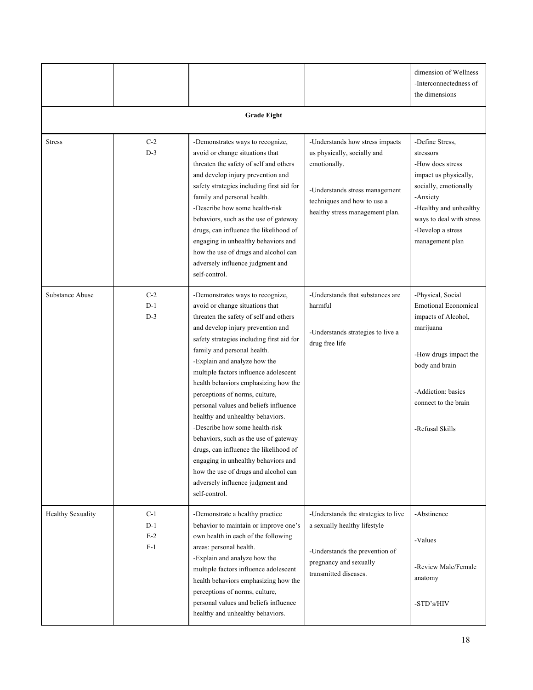|                          |                                  |                                                                                                                                                                                                                                                                                                                                                                                                                                                                                                                                                                                                                                                                                                                         |                                                                                                                                                                                    | dimension of Wellness<br>-Interconnectedness of<br>the dimensions                                                                                                                                            |
|--------------------------|----------------------------------|-------------------------------------------------------------------------------------------------------------------------------------------------------------------------------------------------------------------------------------------------------------------------------------------------------------------------------------------------------------------------------------------------------------------------------------------------------------------------------------------------------------------------------------------------------------------------------------------------------------------------------------------------------------------------------------------------------------------------|------------------------------------------------------------------------------------------------------------------------------------------------------------------------------------|--------------------------------------------------------------------------------------------------------------------------------------------------------------------------------------------------------------|
|                          |                                  | <b>Grade Eight</b>                                                                                                                                                                                                                                                                                                                                                                                                                                                                                                                                                                                                                                                                                                      |                                                                                                                                                                                    |                                                                                                                                                                                                              |
| <b>Stress</b>            | $C-2$<br>$D-3$                   | -Demonstrates ways to recognize,<br>avoid or change situations that<br>threaten the safety of self and others<br>and develop injury prevention and<br>safety strategies including first aid for<br>family and personal health.<br>-Describe how some health-risk<br>behaviors, such as the use of gateway<br>drugs, can influence the likelihood of<br>engaging in unhealthy behaviors and<br>how the use of drugs and alcohol can<br>adversely influence judgment and<br>self-control.                                                                                                                                                                                                                                 | -Understands how stress impacts<br>us physically, socially and<br>emotionally.<br>-Understands stress management<br>techniques and how to use a<br>healthy stress management plan. | -Define Stress,<br>stressors<br>-How does stress<br>impact us physically,<br>socially, emotionally<br>-Anxiety<br>-Healthy and unhealthy<br>ways to deal with stress<br>-Develop a stress<br>management plan |
| Substance Abuse          | $C-2$<br>$D-1$<br>$D-3$          | -Demonstrates ways to recognize,<br>avoid or change situations that<br>threaten the safety of self and others<br>and develop injury prevention and<br>safety strategies including first aid for<br>family and personal health.<br>-Explain and analyze how the<br>multiple factors influence adolescent<br>health behaviors emphasizing how the<br>perceptions of norms, culture,<br>personal values and beliefs influence<br>healthy and unhealthy behaviors.<br>-Describe how some health-risk<br>behaviors, such as the use of gateway<br>drugs, can influence the likelihood of<br>engaging in unhealthy behaviors and<br>how the use of drugs and alcohol can<br>adversely influence judgment and<br>self-control. | -Understands that substances are<br>harmful<br>-Understands strategies to live a<br>drug free life                                                                                 | -Physical, Social<br><b>Emotional Economical</b><br>impacts of Alcohol,<br>marijuana<br>-How drugs impact the<br>body and brain<br>-Addiction: basics<br>connect to the brain<br>-Refusal Skills             |
| <b>Healthy Sexuality</b> | $C-1$<br>$D-1$<br>$E-2$<br>$F-1$ | -Demonstrate a healthy practice<br>behavior to maintain or improve one's<br>own health in each of the following<br>areas: personal health.<br>-Explain and analyze how the<br>multiple factors influence adolescent<br>health behaviors emphasizing how the<br>perceptions of norms, culture,<br>personal values and beliefs influence<br>healthy and unhealthy behaviors.                                                                                                                                                                                                                                                                                                                                              | -Understands the strategies to live<br>a sexually healthy lifestyle<br>-Understands the prevention of<br>pregnancy and sexually<br>transmitted diseases.                           | -Abstinence<br>-Values<br>-Review Male/Female<br>anatomy<br>-STD's/HIV                                                                                                                                       |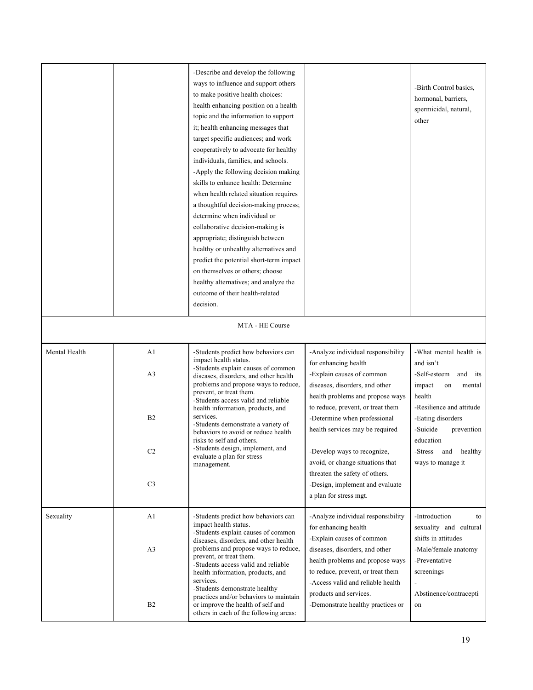|               |                                                                            | -Describe and develop the following<br>ways to influence and support others<br>to make positive health choices:<br>health enhancing position on a health<br>topic and the information to support<br>it; health enhancing messages that<br>target specific audiences; and work<br>cooperatively to advocate for healthy<br>individuals, families, and schools.<br>-Apply the following decision making<br>skills to enhance health: Determine<br>when health related situation requires<br>a thoughtful decision-making process;<br>determine when individual or<br>collaborative decision-making is<br>appropriate; distinguish between<br>healthy or unhealthy alternatives and<br>predict the potential short-term impact<br>on themselves or others; choose<br>healthy alternatives; and analyze the<br>outcome of their health-related<br>decision. |                                                                                                                                                                                                                                                                                                                                                                                                                                         | -Birth Control basics,<br>hormonal, barriers,<br>spermicidal, natural,<br>other                                                                                                                                                           |
|---------------|----------------------------------------------------------------------------|---------------------------------------------------------------------------------------------------------------------------------------------------------------------------------------------------------------------------------------------------------------------------------------------------------------------------------------------------------------------------------------------------------------------------------------------------------------------------------------------------------------------------------------------------------------------------------------------------------------------------------------------------------------------------------------------------------------------------------------------------------------------------------------------------------------------------------------------------------|-----------------------------------------------------------------------------------------------------------------------------------------------------------------------------------------------------------------------------------------------------------------------------------------------------------------------------------------------------------------------------------------------------------------------------------------|-------------------------------------------------------------------------------------------------------------------------------------------------------------------------------------------------------------------------------------------|
|               |                                                                            | MTA - HE Course                                                                                                                                                                                                                                                                                                                                                                                                                                                                                                                                                                                                                                                                                                                                                                                                                                         |                                                                                                                                                                                                                                                                                                                                                                                                                                         |                                                                                                                                                                                                                                           |
| Mental Health | A1<br>A <sub>3</sub><br>B <sub>2</sub><br>C <sub>2</sub><br>C <sub>3</sub> | -Students predict how behaviors can<br>impact health status.<br>-Students explain causes of common<br>diseases, disorders, and other health<br>problems and propose ways to reduce,<br>prevent, or treat them.<br>-Students access valid and reliable<br>health information, products, and<br>services.<br>-Students demonstrate a variety of<br>behaviors to avoid or reduce health<br>risks to self and others.<br>-Students design, implement, and<br>evaluate a plan for stress<br>management.                                                                                                                                                                                                                                                                                                                                                      | -Analyze individual responsibility<br>for enhancing health<br>-Explain causes of common<br>diseases, disorders, and other<br>health problems and propose ways<br>to reduce, prevent, or treat them<br>-Determine when professional<br>health services may be required<br>-Develop ways to recognize.<br>avoid, or change situations that<br>threaten the safety of others.<br>-Design, implement and evaluate<br>a plan for stress mgt. | -What mental health is<br>and isn't<br>-Self-esteem<br>and<br>its<br>impact<br>on<br>mental<br>health<br>-Resilience and attitude<br>-Eating disorders<br>-Suicide<br>prevention<br>education<br>-Stress and healthy<br>ways to manage it |
| Sexuality     | A1<br>A <sub>3</sub><br>B2                                                 | -Students predict how behaviors can<br>impact health status.<br>-Students explain causes of common<br>diseases, disorders, and other health<br>problems and propose ways to reduce,<br>prevent, or treat them.<br>-Students access valid and reliable<br>health information, products, and<br>services.<br>-Students demonstrate healthy<br>practices and/or behaviors to maintain<br>or improve the health of self and<br>others in each of the following areas:                                                                                                                                                                                                                                                                                                                                                                                       | -Analyze individual responsibility<br>for enhancing health<br>-Explain causes of common<br>diseases, disorders, and other<br>health problems and propose ways<br>to reduce, prevent, or treat them<br>-Access valid and reliable health<br>products and services.<br>-Demonstrate healthy practices or                                                                                                                                  | -Introduction<br>to<br>sexuality and cultural<br>shifts in attitudes<br>-Male/female anatomy<br>-Preventative<br>screenings<br>Abstinence/contracepti<br>on                                                                               |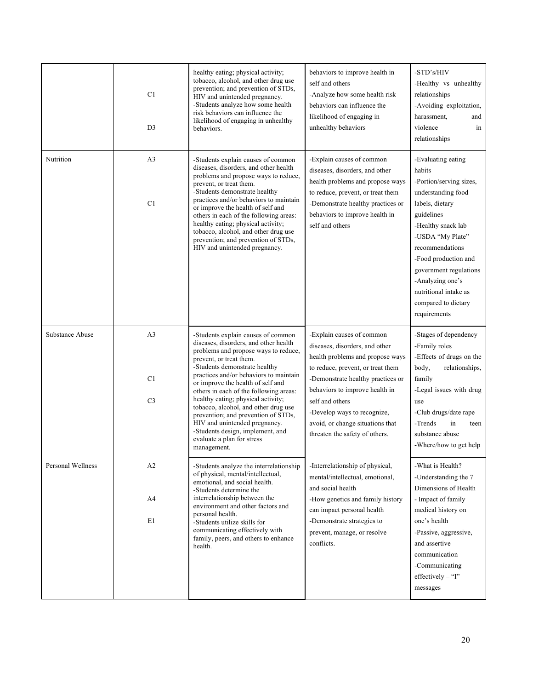|                   | C <sub>1</sub><br>D <sub>3</sub>       | healthy eating; physical activity;<br>tobacco, alcohol, and other drug use<br>prevention; and prevention of STDs,<br>HIV and unintended pregnancy.<br>-Students analyze how some health<br>risk behaviors can influence the<br>likelihood of engaging in unhealthy<br>behaviors.                                                                                                                                                                                                                                                                | behaviors to improve health in<br>self and others<br>-Analyze how some health risk<br>behaviors can influence the<br>likelihood of engaging in<br>unhealthy behaviors                                                                                                                                                               | -STD's/HIV<br>-Healthy vs unhealthy<br>relationships<br>-Avoiding exploitation,<br>harassment,<br>and<br>violence<br>in<br>relationships                                                                                                                                                                          |
|-------------------|----------------------------------------|-------------------------------------------------------------------------------------------------------------------------------------------------------------------------------------------------------------------------------------------------------------------------------------------------------------------------------------------------------------------------------------------------------------------------------------------------------------------------------------------------------------------------------------------------|-------------------------------------------------------------------------------------------------------------------------------------------------------------------------------------------------------------------------------------------------------------------------------------------------------------------------------------|-------------------------------------------------------------------------------------------------------------------------------------------------------------------------------------------------------------------------------------------------------------------------------------------------------------------|
| Nutrition         | A <sub>3</sub><br>C1                   | -Students explain causes of common<br>diseases, disorders, and other health<br>problems and propose ways to reduce,<br>prevent, or treat them.<br>-Students demonstrate healthy<br>practices and/or behaviors to maintain<br>or improve the health of self and<br>others in each of the following areas:<br>healthy eating; physical activity;<br>tobacco, alcohol, and other drug use<br>prevention; and prevention of STDs,<br>HIV and unintended pregnancy.                                                                                  | -Explain causes of common<br>diseases, disorders, and other<br>health problems and propose ways<br>to reduce, prevent, or treat them<br>-Demonstrate healthy practices or<br>behaviors to improve health in<br>self and others                                                                                                      | -Evaluating eating<br>habits<br>-Portion/serving sizes,<br>understanding food<br>labels, dietary<br>guidelines<br>-Healthy snack lab<br>-USDA "My Plate"<br>recommendations<br>-Food production and<br>government regulations<br>-Analyzing one's<br>nutritional intake as<br>compared to dietary<br>requirements |
| Substance Abuse   | A <sub>3</sub><br>C1<br>C <sub>3</sub> | -Students explain causes of common<br>diseases, disorders, and other health<br>problems and propose ways to reduce,<br>prevent, or treat them.<br>-Students demonstrate healthy<br>practices and/or behaviors to maintain<br>or improve the health of self and<br>others in each of the following areas:<br>healthy eating; physical activity;<br>tobacco, alcohol, and other drug use<br>prevention; and prevention of STDs,<br>HIV and unintended pregnancy.<br>-Students design, implement, and<br>evaluate a plan for stress<br>management. | -Explain causes of common<br>diseases, disorders, and other<br>health problems and propose ways<br>to reduce, prevent, or treat them<br>-Demonstrate healthy practices or<br>behaviors to improve health in<br>self and others<br>-Develop ways to recognize,<br>avoid, or change situations that<br>threaten the safety of others. | -Stages of dependency<br>-Family roles<br>-Effects of drugs on the<br>body,<br>relationships,<br>family<br>-Legal issues with drug<br>use<br>-Club drugs/date rape<br>-Trends<br>in<br>teen<br>substance abuse<br>-Where/how to get help                                                                          |
| Personal Wellness | A2<br>A4<br>E1                         | -Students analyze the interrelationship<br>of physical, mental/intellectual,<br>emotional, and social health.<br>-Students determine the<br>interrelationship between the<br>environment and other factors and<br>personal health.<br>-Students utilize skills for<br>communicating effectively with<br>family, peers, and others to enhance<br>health.                                                                                                                                                                                         | -Interrelationship of physical,<br>mental/intellectual, emotional,<br>and social health<br>-How genetics and family history<br>can impact personal health<br>-Demonstrate strategies to<br>prevent, manage, or resolve<br>conflicts.                                                                                                | -What is Health?<br>-Understanding the 7<br>Dimensions of Health<br>- Impact of family<br>medical history on<br>one's health<br>-Passive, aggressive,<br>and assertive<br>communication<br>-Communicating<br>$effectively - "I"$<br>messages                                                                      |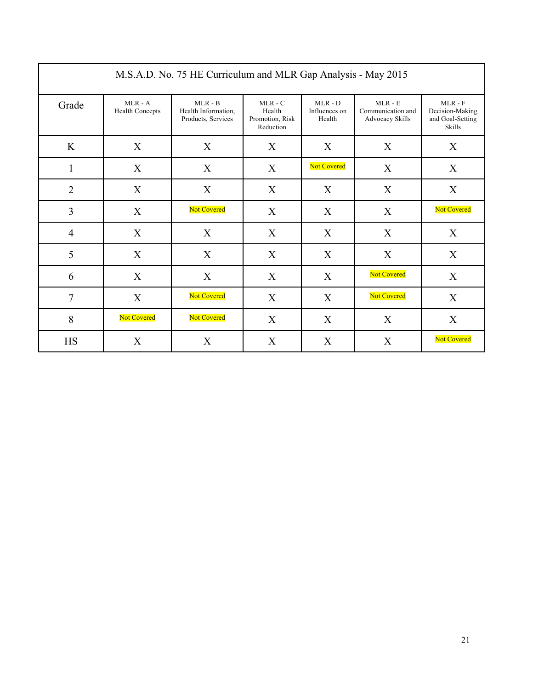| M.S.A.D. No. 75 HE Curriculum and MLR Gap Analysis - May 2015 |                                     |                                                        |                                                     |                                      |                                                          |                                                            |
|---------------------------------------------------------------|-------------------------------------|--------------------------------------------------------|-----------------------------------------------------|--------------------------------------|----------------------------------------------------------|------------------------------------------------------------|
| Grade                                                         | $MLR - A$<br><b>Health Concepts</b> | $MLR - B$<br>Health Information,<br>Products, Services | $MLR - C$<br>Health<br>Promotion, Risk<br>Reduction | $MLR - D$<br>Influences on<br>Health | $MLR - E$<br>Communication and<br><b>Advocacy Skills</b> | $MLR - F$<br>Decision-Making<br>and Goal-Setting<br>Skills |
| K                                                             | X                                   | X                                                      | X                                                   | X                                    | X                                                        | X                                                          |
| 1                                                             | X                                   | X                                                      | X                                                   | <b>Not Covered</b>                   | X                                                        | X                                                          |
| $\overline{2}$                                                | X                                   | X                                                      | X                                                   | X                                    | X                                                        | X                                                          |
| 3                                                             | X                                   | <b>Not Covered</b>                                     | X                                                   | X                                    | X                                                        | Not Covered                                                |
| $\overline{4}$                                                | X                                   | X                                                      | X                                                   | X                                    | X                                                        | X                                                          |
| 5                                                             | X                                   | X                                                      | X                                                   | X                                    | X                                                        | X                                                          |
| 6                                                             | X                                   | X                                                      | X                                                   | X                                    | <b>Not Covered</b>                                       | X                                                          |
| $\overline{7}$                                                | X                                   | Not Covered                                            | X                                                   | X                                    | Not Covered                                              | X                                                          |
| 8                                                             | Not Covered                         | Not Covered                                            | X                                                   | X                                    | X                                                        | X                                                          |
| <b>HS</b>                                                     | X                                   | X                                                      | X                                                   | X                                    | X                                                        | Not Covered                                                |

 $\mathbf{r}$ 

٦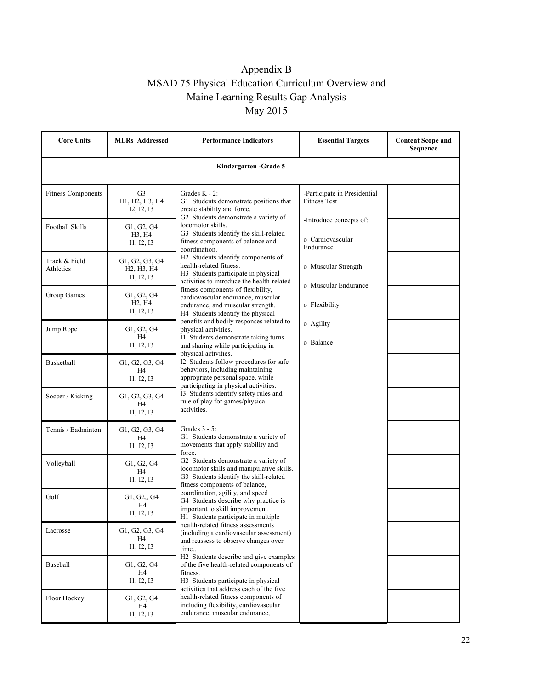# Appendix B MSAD 75 Physical Education Curriculum Overview and Maine Learning Results Gap Analysis May 2015

| <b>Core Units</b>          | <b>MLRs</b> Addressed                                                            | <b>Performance Indicators</b>                                                                                                                                                    | <b>Essential Targets</b>                                 | <b>Content Scope and</b><br>Sequence |  |
|----------------------------|----------------------------------------------------------------------------------|----------------------------------------------------------------------------------------------------------------------------------------------------------------------------------|----------------------------------------------------------|--------------------------------------|--|
| Kindergarten - Grade 5     |                                                                                  |                                                                                                                                                                                  |                                                          |                                      |  |
| <b>Fitness Components</b>  | G <sub>3</sub><br>H1, H2, H3, H4<br>I2, I2, I3                                   | Grades $K - 2$ :<br>G1 Students demonstrate positions that<br>create stability and force.<br>G2 Students demonstrate a variety of                                                | -Participate in Presidential<br><b>Fitness Test</b>      |                                      |  |
| Football Skills            | G1, G2, G4<br>H3, H4<br>I1, I2, I3                                               | locomotor skills.<br>G3 Students identify the skill-related<br>fitness components of balance and<br>coordination.                                                                | -Introduce concepts of:<br>o Cardiovascular<br>Endurance |                                      |  |
| Track & Field<br>Athletics | G1, G2, G3, G4<br>H <sub>2</sub> , H <sub>3</sub> , H <sub>4</sub><br>I1, I2, I3 | H2 Students identify components of<br>health-related fitness.<br>H3 Students participate in physical<br>activities to introduce the health-related                               | o Muscular Strength                                      |                                      |  |
| Group Games                | G1, G2, G4<br>H <sub>2</sub> , H <sub>4</sub><br>I1, I2, I3                      | fitness components of flexibility,<br>cardiovascular endurance, muscular<br>endurance, and muscular strength.<br>H4 Students identify the physical                               | o Muscular Endurance<br>o Flexibility                    |                                      |  |
| Jump Rope                  | G1, G2, G4<br>H <sub>4</sub><br>I1, I2, I3                                       | benefits and bodily responses related to<br>physical activities.<br>I1 Students demonstrate taking turns<br>and sharing while participating in                                   | o Agility<br>o Balance                                   |                                      |  |
| <b>Basketball</b>          | G1, G2, G3, G4<br>H4<br>I1, I2, I3                                               | physical activities.<br>I2 Students follow procedures for safe<br>behaviors, including maintaining<br>appropriate personal space, while<br>participating in physical activities. |                                                          |                                      |  |
| Soccer / Kicking           | G1, G2, G3, G4<br>H4<br>I1, I2, I3                                               | I3 Students identify safety rules and<br>rule of play for games/physical<br>activities.                                                                                          |                                                          |                                      |  |
| Tennis / Badminton         | G1, G2, G3, G4<br>H <sub>4</sub><br>I1, I2, I3                                   | Grades $3 - 5$ :<br>G1 Students demonstrate a variety of<br>movements that apply stability and<br>force.                                                                         |                                                          |                                      |  |
| Volleyball                 | G1, G2, G4<br>H4<br>I1, I2, I3                                                   | G2 Students demonstrate a variety of<br>locomotor skills and manipulative skills.<br>G3 Students identify the skill-related<br>fitness components of balance,                    |                                                          |                                      |  |
| Golf                       | G1, G2,, G4<br>H4<br>I1, I2, I3                                                  | coordination, agility, and speed<br>G4 Students describe why practice is<br>important to skill improvement.<br>H1 Students participate in multiple                               |                                                          |                                      |  |
| Lacrosse                   | G1, G2, G3, G4<br>H4<br>I1, I2, I3                                               | health-related fitness assessments<br>(including a cardiovascular assessment)<br>and reassess to observe changes over<br>time                                                    |                                                          |                                      |  |
| Baseball                   | G1, G2, G4<br>H4<br>I1, I2, I3                                                   | H <sub>2</sub> Students describe and give examples<br>of the five health-related components of<br>fitness.<br>H3 Students participate in physical                                |                                                          |                                      |  |
| Floor Hockey               | G1, G2, G4<br>H4<br>I1, I2, I3                                                   | activities that address each of the five<br>health-related fitness components of<br>including flexibility, cardiovascular<br>endurance, muscular endurance,                      |                                                          |                                      |  |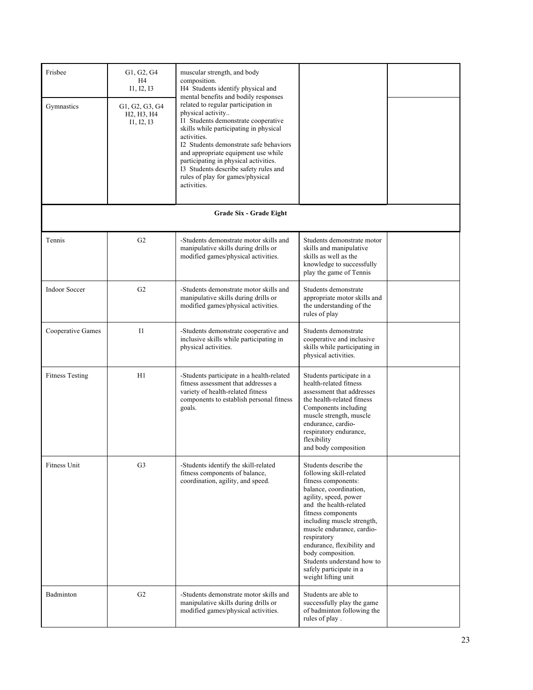| Frisbee<br>Gymnastics  | G1, G2, G4<br>H4<br>I1, I2, I3<br>G1, G2, G3, G4<br>H <sub>2</sub> , H <sub>3</sub> , H <sub>4</sub><br>I1, I2, I3 | muscular strength, and body<br>composition.<br>H4 Students identify physical and<br>mental benefits and bodily responses<br>related to regular participation in<br>physical activity<br>I1 Students demonstrate cooperative<br>skills while participating in physical<br>activities.<br>I2 Students demonstrate safe behaviors<br>and appropriate equipment use while<br>participating in physical activities.<br>I3 Students describe safety rules and<br>rules of play for games/physical<br>activities. |                                                                                                                                                                                                                                                                                                                                                                                         |  |
|------------------------|--------------------------------------------------------------------------------------------------------------------|------------------------------------------------------------------------------------------------------------------------------------------------------------------------------------------------------------------------------------------------------------------------------------------------------------------------------------------------------------------------------------------------------------------------------------------------------------------------------------------------------------|-----------------------------------------------------------------------------------------------------------------------------------------------------------------------------------------------------------------------------------------------------------------------------------------------------------------------------------------------------------------------------------------|--|
|                        |                                                                                                                    |                                                                                                                                                                                                                                                                                                                                                                                                                                                                                                            |                                                                                                                                                                                                                                                                                                                                                                                         |  |
|                        |                                                                                                                    | Grade Six - Grade Eight                                                                                                                                                                                                                                                                                                                                                                                                                                                                                    |                                                                                                                                                                                                                                                                                                                                                                                         |  |
| Tennis                 | G <sub>2</sub>                                                                                                     | -Students demonstrate motor skills and<br>manipulative skills during drills or<br>modified games/physical activities.                                                                                                                                                                                                                                                                                                                                                                                      | Students demonstrate motor<br>skills and manipulative<br>skills as well as the<br>knowledge to successfully<br>play the game of Tennis                                                                                                                                                                                                                                                  |  |
| <b>Indoor Soccer</b>   | G <sub>2</sub>                                                                                                     | -Students demonstrate motor skills and<br>manipulative skills during drills or<br>modified games/physical activities.                                                                                                                                                                                                                                                                                                                                                                                      | Students demonstrate<br>appropriate motor skills and<br>the understanding of the<br>rules of play                                                                                                                                                                                                                                                                                       |  |
| Cooperative Games      | 11                                                                                                                 | -Students demonstrate cooperative and<br>inclusive skills while participating in<br>physical activities.                                                                                                                                                                                                                                                                                                                                                                                                   | Students demonstrate<br>cooperative and inclusive<br>skills while participating in<br>physical activities.                                                                                                                                                                                                                                                                              |  |
| <b>Fitness Testing</b> | H1                                                                                                                 | -Students participate in a health-related<br>fitness assessment that addresses a<br>variety of health-related fitness<br>components to establish personal fitness<br>goals.                                                                                                                                                                                                                                                                                                                                | Students participate in a<br>health-related fitness<br>assessment that addresses<br>the health-related fitness<br>Components including<br>muscle strength, muscle<br>endurance, cardio-<br>respiratory endurance,<br>flexibility<br>and body composition                                                                                                                                |  |
| Fitness Unit           | G <sub>3</sub>                                                                                                     | -Students identify the skill-related<br>fitness components of balance,<br>coordination, agility, and speed.                                                                                                                                                                                                                                                                                                                                                                                                | Students describe the<br>following skill-related<br>fitness components:<br>balance, coordination,<br>agility, speed, power<br>and the health-related<br>fitness components<br>including muscle strength,<br>muscle endurance, cardio-<br>respiratory<br>endurance, flexibility and<br>body composition.<br>Students understand how to<br>safely participate in a<br>weight lifting unit |  |
| Badminton              | G2                                                                                                                 | -Students demonstrate motor skills and<br>manipulative skills during drills or<br>modified games/physical activities.                                                                                                                                                                                                                                                                                                                                                                                      | Students are able to<br>successfully play the game<br>of badminton following the<br>rules of play.                                                                                                                                                                                                                                                                                      |  |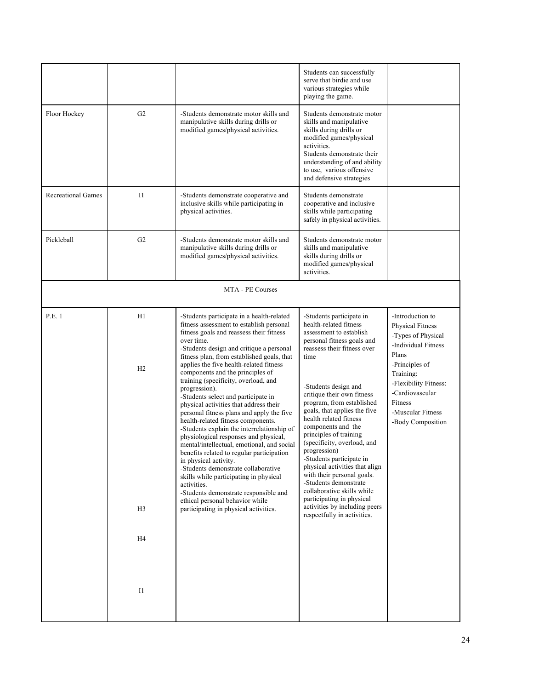|                           |                |                                                                                                                                                                                                                                                                                                                                                                                                                                                                                                                                                                                                                                                                                                 | Students can successfully<br>serve that birdie and use<br>various strategies while<br>playing the game.                                                                                                                                                                                                                                                                                                                  |                                                                                                                              |
|---------------------------|----------------|-------------------------------------------------------------------------------------------------------------------------------------------------------------------------------------------------------------------------------------------------------------------------------------------------------------------------------------------------------------------------------------------------------------------------------------------------------------------------------------------------------------------------------------------------------------------------------------------------------------------------------------------------------------------------------------------------|--------------------------------------------------------------------------------------------------------------------------------------------------------------------------------------------------------------------------------------------------------------------------------------------------------------------------------------------------------------------------------------------------------------------------|------------------------------------------------------------------------------------------------------------------------------|
| Floor Hockey              | G <sub>2</sub> | -Students demonstrate motor skills and<br>manipulative skills during drills or<br>modified games/physical activities.                                                                                                                                                                                                                                                                                                                                                                                                                                                                                                                                                                           | Students demonstrate motor<br>skills and manipulative<br>skills during drills or<br>modified games/physical<br>activities.<br>Students demonstrate their<br>understanding of and ability<br>to use, various offensive<br>and defensive strategies                                                                                                                                                                        |                                                                                                                              |
| <b>Recreational Games</b> | 11             | -Students demonstrate cooperative and<br>inclusive skills while participating in<br>physical activities.                                                                                                                                                                                                                                                                                                                                                                                                                                                                                                                                                                                        | Students demonstrate<br>cooperative and inclusive<br>skills while participating<br>safely in physical activities.                                                                                                                                                                                                                                                                                                        |                                                                                                                              |
| Pickleball                | G <sub>2</sub> | -Students demonstrate motor skills and<br>manipulative skills during drills or<br>modified games/physical activities.                                                                                                                                                                                                                                                                                                                                                                                                                                                                                                                                                                           | Students demonstrate motor<br>skills and manipulative<br>skills during drills or<br>modified games/physical<br>activities.                                                                                                                                                                                                                                                                                               |                                                                                                                              |
|                           |                | MTA - PE Courses                                                                                                                                                                                                                                                                                                                                                                                                                                                                                                                                                                                                                                                                                |                                                                                                                                                                                                                                                                                                                                                                                                                          |                                                                                                                              |
| P.E. 1                    | H1             | -Students participate in a health-related<br>fitness assessment to establish personal<br>fitness goals and reassess their fitness<br>over time.<br>-Students design and critique a personal<br>fitness plan, from established goals, that                                                                                                                                                                                                                                                                                                                                                                                                                                                       | -Students participate in<br>health-related fitness<br>assessment to establish<br>personal fitness goals and<br>reassess their fitness over<br>time                                                                                                                                                                                                                                                                       | -Introduction to<br><b>Physical Fitness</b><br>-Types of Physical<br>-Individual Fitness<br>Plans                            |
|                           | H <sub>2</sub> | applies the five health-related fitness<br>components and the principles of<br>training (specificity, overload, and<br>progression).<br>-Students select and participate in<br>physical activities that address their<br>personal fitness plans and apply the five<br>health-related fitness components.<br>-Students explain the interrelationship of<br>physiological responses and physical,<br>mental/intellectual, emotional, and social<br>benefits related to regular participation<br>in physical activity.<br>-Students demonstrate collaborative<br>skills while participating in physical<br>activities.<br>-Students demonstrate responsible and<br>ethical personal behavior while | -Students design and<br>critique their own fitness<br>program, from established<br>goals, that applies the five<br>health related fitness<br>components and the<br>principles of training<br>(specificity, overload, and<br>progression)<br>-Students participate in<br>physical activities that align<br>with their personal goals.<br>-Students demonstrate<br>collaborative skills while<br>participating in physical | -Principles of<br>Training:<br>-Flexibility Fitness:<br>-Cardiovascular<br>Fitness<br>-Muscular Fitness<br>-Body Composition |
|                           | H <sub>3</sub> | participating in physical activities.                                                                                                                                                                                                                                                                                                                                                                                                                                                                                                                                                                                                                                                           | activities by including peers<br>respectfully in activities.                                                                                                                                                                                                                                                                                                                                                             |                                                                                                                              |
|                           | H <sub>4</sub> |                                                                                                                                                                                                                                                                                                                                                                                                                                                                                                                                                                                                                                                                                                 |                                                                                                                                                                                                                                                                                                                                                                                                                          |                                                                                                                              |
|                           | I1             |                                                                                                                                                                                                                                                                                                                                                                                                                                                                                                                                                                                                                                                                                                 |                                                                                                                                                                                                                                                                                                                                                                                                                          |                                                                                                                              |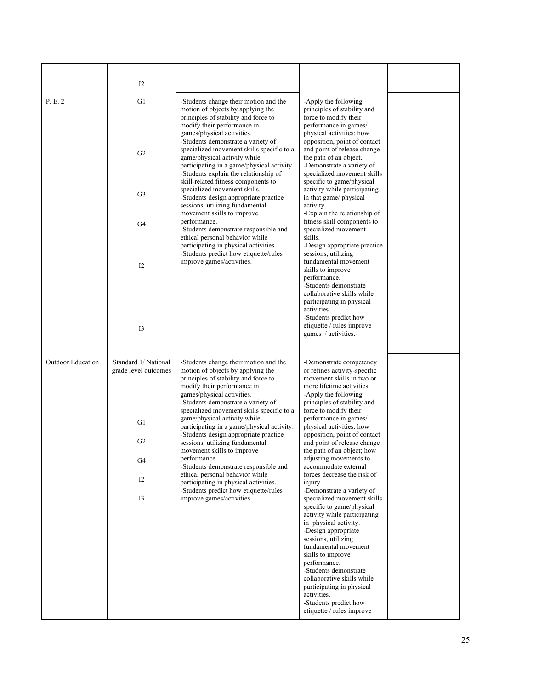|                          | 12                                                                                                                                                               |                                                                                                                                                                                                                                                                                                                                                  |                                                                                                                                                                                                                                                                                                                                                                                       |  |
|--------------------------|------------------------------------------------------------------------------------------------------------------------------------------------------------------|--------------------------------------------------------------------------------------------------------------------------------------------------------------------------------------------------------------------------------------------------------------------------------------------------------------------------------------------------|---------------------------------------------------------------------------------------------------------------------------------------------------------------------------------------------------------------------------------------------------------------------------------------------------------------------------------------------------------------------------------------|--|
| P. E. 2                  | G1<br>G2                                                                                                                                                         | -Students change their motion and the<br>motion of objects by applying the<br>principles of stability and force to<br>modify their performance in<br>games/physical activities.<br>-Students demonstrate a variety of<br>specialized movement skills specific to a<br>game/physical activity while<br>participating in a game/physical activity. | -Apply the following<br>principles of stability and<br>force to modify their<br>performance in games/<br>physical activities: how<br>opposition, point of contact<br>and point of release change<br>the path of an object.<br>-Demonstrate a variety of                                                                                                                               |  |
|                          | G <sub>3</sub>                                                                                                                                                   | -Students explain the relationship of<br>skill-related fitness components to<br>specialized movement skills.<br>-Students design appropriate practice<br>sessions, utilizing fundamental                                                                                                                                                         | specialized movement skills<br>specific to game/physical<br>activity while participating<br>in that game/ physical<br>activity.                                                                                                                                                                                                                                                       |  |
|                          | G4                                                                                                                                                               | movement skills to improve<br>performance.<br>-Students demonstrate responsible and<br>ethical personal behavior while<br>participating in physical activities.                                                                                                                                                                                  | -Explain the relationship of<br>fitness skill components to<br>specialized movement<br>skills.<br>-Design appropriate practice                                                                                                                                                                                                                                                        |  |
|                          | 12                                                                                                                                                               | -Students predict how etiquette/rules<br>improve games/activities.                                                                                                                                                                                                                                                                               | sessions, utilizing<br>fundamental movement<br>skills to improve<br>performance.<br>-Students demonstrate<br>collaborative skills while<br>participating in physical<br>activities.                                                                                                                                                                                                   |  |
|                          | 13                                                                                                                                                               |                                                                                                                                                                                                                                                                                                                                                  | -Students predict how<br>etiquette / rules improve<br>games / activities.-                                                                                                                                                                                                                                                                                                            |  |
| <b>Outdoor Education</b> | Standard 1/ National<br>grade level outcomes<br>G1                                                                                                               | -Students change their motion and the<br>motion of objects by applying the<br>principles of stability and force to<br>modify their performance in<br>games/physical activities.<br>-Students demonstrate a variety of<br>specialized movement skills specific to a<br>game/physical activity while                                               | -Demonstrate competency<br>or refines activity-specific<br>movement skills in two or<br>more lifetime activities.<br>-Apply the following<br>principles of stability and<br>force to modify their<br>performance in games/                                                                                                                                                            |  |
|                          | G <sub>2</sub><br>G4                                                                                                                                             | participating in a game/physical activity.<br>-Students design appropriate practice<br>sessions, utilizing fundamental<br>movement skills to improve<br>performance.                                                                                                                                                                             | physical activities: how<br>opposition, point of contact<br>and point of release change<br>the path of an object; how<br>adjusting movements to                                                                                                                                                                                                                                       |  |
|                          | -Students demonstrate responsible and<br>ethical personal behavior while<br>12<br>participating in physical activities.<br>-Students predict how etiquette/rules | accommodate external<br>forces decrease the risk of<br>injury.<br>-Demonstrate a variety of                                                                                                                                                                                                                                                      |                                                                                                                                                                                                                                                                                                                                                                                       |  |
|                          | I3                                                                                                                                                               | improve games/activities.                                                                                                                                                                                                                                                                                                                        | specialized movement skills<br>specific to game/physical<br>activity while participating<br>in physical activity.<br>-Design appropriate<br>sessions, utilizing<br>fundamental movement<br>skills to improve<br>performance.<br>-Students demonstrate<br>collaborative skills while<br>participating in physical<br>activities.<br>-Students predict how<br>etiquette / rules improve |  |